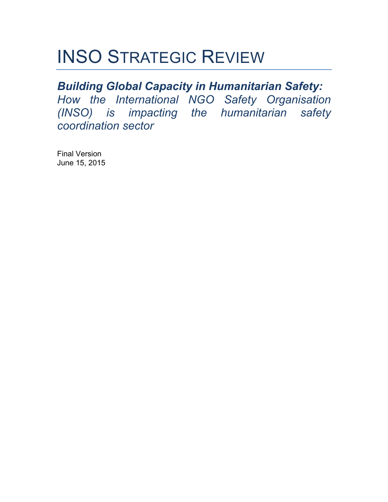# INSO STRATEGIC REVIEW

## *Building Global Capacity in Humanitarian Safety:*

*How the International NGO Safety Organisation (INSO) is impacting the humanitarian safety coordination sector*

Final Version June 15, 2015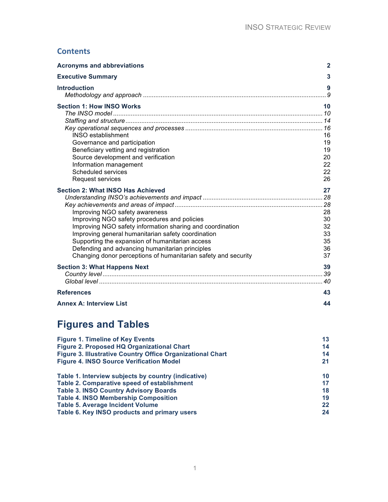### **Contents**

| <b>Acronyms and abbreviations</b>                                                                                                                                                                                                                                                                                                                                                                                     | $\mathbf{2}$                                 |
|-----------------------------------------------------------------------------------------------------------------------------------------------------------------------------------------------------------------------------------------------------------------------------------------------------------------------------------------------------------------------------------------------------------------------|----------------------------------------------|
| <b>Executive Summary</b>                                                                                                                                                                                                                                                                                                                                                                                              | 3                                            |
| <b>Introduction</b>                                                                                                                                                                                                                                                                                                                                                                                                   | 9                                            |
| <b>Section 1: How INSO Works</b><br><b>INSO</b> establishment<br>Governance and participation<br>Beneficiary vetting and registration<br>Source development and verification<br>Information management<br>Scheduled services<br>Request services                                                                                                                                                                      | 10<br>16<br>19<br>19<br>20<br>22<br>22<br>26 |
| <b>Section 2: What INSO Has Achieved</b><br>Improving NGO safety awareness<br>Improving NGO safety procedures and policies<br>Improving NGO safety information sharing and coordination<br>Improving general humanitarian safety coordination<br>Supporting the expansion of humanitarian access<br>Defending and advancing humanitarian principles<br>Changing donor perceptions of humanitarian safety and security | 27<br>28<br>30<br>32<br>33<br>35<br>36<br>37 |
| <b>Section 3: What Happens Next</b>                                                                                                                                                                                                                                                                                                                                                                                   | 39                                           |
| <b>References</b>                                                                                                                                                                                                                                                                                                                                                                                                     | 43                                           |
| <b>Annex A: Interview List</b>                                                                                                                                                                                                                                                                                                                                                                                        | 44                                           |

## **Figures and Tables**

| <b>Figure 1. Timeline of Key Events</b>                    | 13 |
|------------------------------------------------------------|----|
| Figure 2. Proposed HQ Organizational Chart                 | 14 |
| Figure 3. Illustrative Country Office Organizational Chart | 14 |
| <b>Figure 4. INSO Source Verification Model</b>            | 21 |
| Table 1. Interview subjects by country (indicative)        | 10 |
| Table 2. Comparative speed of establishment                | 17 |
| <b>Table 3. INSO Country Advisory Boards</b>               | 18 |
| <b>Table 4. INSO Membership Composition</b>                | 19 |
| <b>Table 5. Average Incident Volume</b>                    | 22 |
| Table 6. Key INSO products and primary users               | 24 |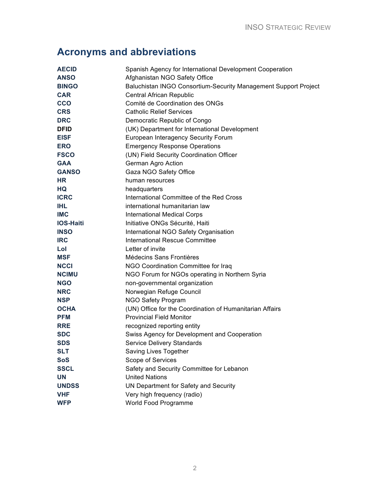## **Acronyms and abbreviations**

| <b>AECID</b>     | Spanish Agency for International Development Cooperation        |  |
|------------------|-----------------------------------------------------------------|--|
| <b>ANSO</b>      | Afghanistan NGO Safety Office                                   |  |
| <b>BINGO</b>     | Baluchistan INGO Consortium-Security Management Support Project |  |
| <b>CAR</b>       | Central African Republic                                        |  |
| <b>CCO</b>       | Comité de Coordination des ONGs                                 |  |
| <b>CRS</b>       | <b>Catholic Relief Services</b>                                 |  |
| <b>DRC</b>       | Democratic Republic of Congo                                    |  |
| <b>DFID</b>      | (UK) Department for International Development                   |  |
| <b>EISF</b>      | European Interagency Security Forum                             |  |
| <b>ERO</b>       | <b>Emergency Response Operations</b>                            |  |
| <b>FSCO</b>      | (UN) Field Security Coordination Officer                        |  |
| <b>GAA</b>       | German Agro Action                                              |  |
| <b>GANSO</b>     | Gaza NGO Safety Office                                          |  |
| <b>HR</b>        | human resources                                                 |  |
| HQ               | headquarters                                                    |  |
| <b>ICRC</b>      | International Committee of the Red Cross                        |  |
| <b>IHL</b>       | international humanitarian law                                  |  |
| <b>IMC</b>       | <b>International Medical Corps</b>                              |  |
| <b>IOS-Haiti</b> | Initiative ONGs Sécurité, Haiti                                 |  |
| <b>INSO</b>      | International NGO Safety Organisation                           |  |
| <b>IRC</b>       | International Rescue Committee                                  |  |
| Lol              | Letter of invite                                                |  |
| <b>MSF</b>       | Médecins Sans Frontières                                        |  |
| <b>NCCI</b>      | NGO Coordination Committee for Iraq                             |  |
| <b>NCIMU</b>     | NGO Forum for NGOs operating in Northern Syria                  |  |
| <b>NGO</b>       | non-governmental organization                                   |  |
| <b>NRC</b>       | Norwegian Refuge Council                                        |  |
| <b>NSP</b>       | NGO Safety Program                                              |  |
| <b>OCHA</b>      | (UN) Office for the Coordination of Humanitarian Affairs        |  |
| <b>PFM</b>       | <b>Provincial Field Monitor</b>                                 |  |
| <b>RRE</b>       | recognized reporting entity                                     |  |
| <b>SDC</b>       | Swiss Agency for Development and Cooperation                    |  |
| <b>SDS</b>       | Service Delivery Standards                                      |  |
| SLT              | Saving Lives Together                                           |  |
| SoS              | Scope of Services                                               |  |
| <b>SSCL</b>      | Safety and Security Committee for Lebanon                       |  |
| <b>UN</b>        | <b>United Nations</b>                                           |  |
| <b>UNDSS</b>     | UN Department for Safety and Security                           |  |
| <b>VHF</b>       | Very high frequency (radio)                                     |  |
| <b>WFP</b>       | World Food Programme                                            |  |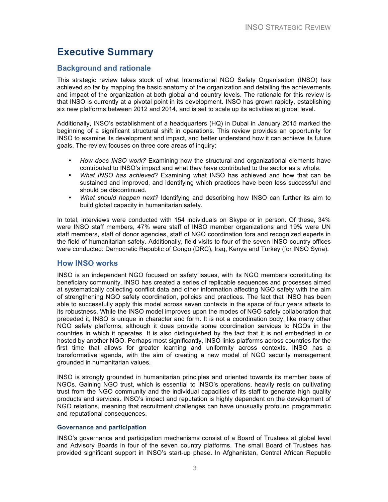### **Executive Summary**

#### **Background and rationale**

This strategic review takes stock of what International NGO Safety Organisation (INSO) has achieved so far by mapping the basic anatomy of the organization and detailing the achievements and impact of the organization at both global and country levels. The rationale for this review is that INSO is currently at a pivotal point in its development. INSO has grown rapidly, establishing six new platforms between 2012 and 2014, and is set to scale up its activities at global level.

Additionally, INSO's establishment of a headquarters (HQ) in Dubai in January 2015 marked the beginning of a significant structural shift in operations. This review provides an opportunity for INSO to examine its development and impact, and better understand how it can achieve its future goals. The review focuses on three core areas of inquiry:

- *How does INSO work?* Examining how the structural and organizational elements have contributed to INSO's impact and what they have contributed to the sector as a whole.
- *What INSO has achieved*? Examining what INSO has achieved and how that can be sustained and improved, and identifying which practices have been less successful and should be discontinued.
- *What should happen next?* Identifying and describing how INSO can further its aim to build global capacity in humanitarian safety.

In total, interviews were conducted with 154 individuals on Skype or in person. Of these, 34% were INSO staff members, 47% were staff of INSO member organizations and 19% were UN staff members, staff of donor agencies, staff of NGO coordination fora and recognized experts in the field of humanitarian safety. Additionally, field visits to four of the seven INSO country offices were conducted: Democratic Republic of Congo (DRC), Iraq, Kenya and Turkey (for INSO Syria).

#### **How INSO works**

INSO is an independent NGO focused on safety issues, with its NGO members constituting its beneficiary community. INSO has created a series of replicable sequences and processes aimed at systematically collecting conflict data and other information affecting NGO safety with the aim of strengthening NGO safety coordination, policies and practices. The fact that INSO has been able to successfully apply this model across seven contexts in the space of four years attests to its robustness. While the INSO model improves upon the modes of NGO safety collaboration that preceded it, INSO is unique in character and form. It is not a coordination body, like many other NGO safety platforms, although it does provide some coordination services to NGOs in the countries in which it operates. It is also distinguished by the fact that it is not embedded in or hosted by another NGO. Perhaps most significantly, INSO links platforms across countries for the first time that allows for greater learning and uniformity across contexts. INSO has a transformative agenda, with the aim of creating a new model of NGO security management grounded in humanitarian values.

INSO is strongly grounded in humanitarian principles and oriented towards its member base of NGOs. Gaining NGO trust, which is essential to INSO's operations, heavily rests on cultivating trust from the NGO community and the individual capacities of its staff to generate high quality products and services. INSO's impact and reputation is highly dependent on the development of NGO relations, meaning that recruitment challenges can have unusually profound programmatic and reputational consequences.

#### **Governance and participation**

INSO's governance and participation mechanisms consist of a Board of Trustees at global level and Advisory Boards in four of the seven country platforms. The small Board of Trustees has provided significant support in INSO's start-up phase. In Afghanistan, Central African Republic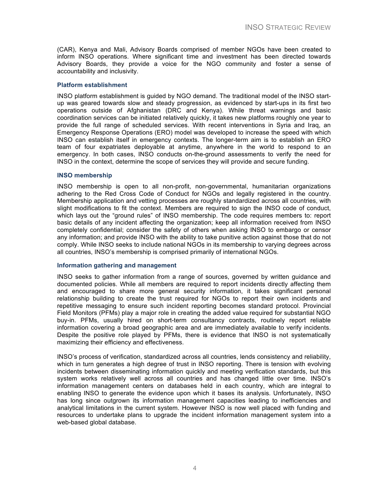(CAR), Kenya and Mali, Advisory Boards comprised of member NGOs have been created to inform INSO operations. Where significant time and investment has been directed towards Advisory Boards, they provide a voice for the NGO community and foster a sense of accountability and inclusivity.

#### **Platform establishment**

INSO platform establishment is guided by NGO demand. The traditional model of the INSO startup was geared towards slow and steady progression, as evidenced by start-ups in its first two operations outside of Afghanistan (DRC and Kenya). While threat warnings and basic coordination services can be initiated relatively quickly, it takes new platforms roughly one year to provide the full range of scheduled services. With recent interventions in Syria and Iraq, an Emergency Response Operations (ERO) model was developed to increase the speed with which INSO can establish itself in emergency contexts. The longer-term aim is to establish an ERO team of four expatriates deployable at anytime, anywhere in the world to respond to an emergency. In both cases, INSO conducts on-the-ground assessments to verify the need for INSO in the context, determine the scope of services they will provide and secure funding.

#### **INSO membership**

INSO membership is open to all non-profit, non-governmental, humanitarian organizations adhering to the Red Cross Code of Conduct for NGOs and legally registered in the country. Membership application and vetting processes are roughly standardized across all countries, with slight modifications to fit the context. Members are required to sign the INSO code of conduct, which lays out the "ground rules" of INSO membership. The code requires members to: report basic details of any incident affecting the organization; keep all information received from INSO completely confidential; consider the safety of others when asking INSO to embargo or censor any information; and provide INSO with the ability to take punitive action against those that do not comply. While INSO seeks to include national NGOs in its membership to varying degrees across all countries, INSO's membership is comprised primarily of international NGOs.

#### **Information gathering and management**

INSO seeks to gather information from a range of sources, governed by written guidance and documented policies. While all members are required to report incidents directly affecting them and encouraged to share more general security information, it takes significant personal relationship building to create the trust required for NGOs to report their own incidents and repetitive messaging to ensure such incident reporting becomes standard protocol. Provincial Field Monitors (PFMs) play a major role in creating the added value required for substantial NGO buy-in. PFMs, usually hired on short-term consultancy contracts, routinely report reliable information covering a broad geographic area and are immediately available to verify incidents. Despite the positive role played by PFMs, there is evidence that INSO is not systematically maximizing their efficiency and effectiveness.

INSO's process of verification, standardized across all countries, lends consistency and reliability, which in turn generates a high degree of trust in INSO reporting. There is tension with evolving incidents between disseminating information quickly and meeting verification standards, but this system works relatively well across all countries and has changed little over time. INSO's information management centers on databases held in each country, which are integral to enabling INSO to generate the evidence upon which it bases its analysis. Unfortunately, INSO has long since outgrown its information management capacities leading to inefficiencies and analytical limitations in the current system. However INSO is now well placed with funding and resources to undertake plans to upgrade the incident information management system into a web-based global database.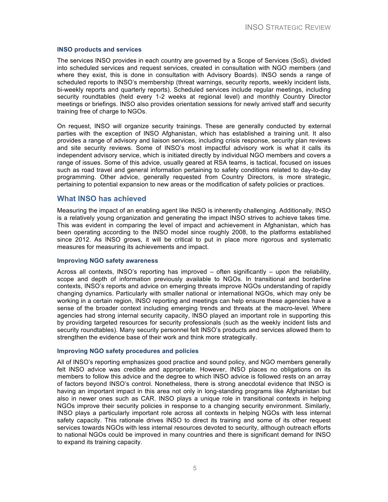#### **INSO products and services**

The services INSO provides in each country are governed by a Scope of Services (SoS), divided into scheduled services and request services, created in consultation with NGO members (and where they exist, this is done in consultation with Advisory Boards). INSO sends a range of scheduled reports to INSO's membership (threat warnings, security reports, weekly incident lists, bi-weekly reports and quarterly reports). Scheduled services include regular meetings, including security roundtables (held every 1-2 weeks at regional level) and monthly Country Director meetings or briefings. INSO also provides orientation sessions for newly arrived staff and security training free of charge to NGOs.

On request, INSO will organize security trainings. These are generally conducted by external parties with the exception of INSO Afghanistan, which has established a training unit. It also provides a range of advisory and liaison services, including crisis response, security plan reviews and site security reviews. Some of INSO's most impactful advisory work is what it calls its independent advisory service, which is initiated directly by individual NGO members and covers a range of issues. Some of this advice, usually geared at RSA teams, is tactical, focused on issues such as road travel and general information pertaining to safety conditions related to day-to-day programming. Other advice, generally requested from Country Directors, is more strategic, pertaining to potential expansion to new areas or the modification of safety policies or practices.

#### **What INSO has achieved**

Measuring the impact of an enabling agent like INSO is inherently challenging. Additionally, INSO is a relatively young organization and generating the impact INSO strives to achieve takes time. This was evident in comparing the level of impact and achievement in Afghanistan, which has been operating according to the INSO model since roughly 2008, to the platforms established since 2012. As INSO grows, it will be critical to put in place more rigorous and systematic measures for measuring its achievements and impact.

#### **Improving NGO safety awareness**

Across all contexts, INSO's reporting has improved – often significantly – upon the reliability, scope and depth of information previously available to NGOs. In transitional and borderline contexts, INSO's reports and advice on emerging threats improve NGOs understanding of rapidly changing dynamics. Particularly with smaller national or international NGOs, which may only be working in a certain region, INSO reporting and meetings can help ensure these agencies have a sense of the broader context including emerging trends and threats at the macro-level. Where agencies had strong internal security capacity, INSO played an important role in supporting this by providing targeted resources for security professionals (such as the weekly incident lists and security roundtables). Many security personnel felt INSO's products and services allowed them to strengthen the evidence base of their work and think more strategically.

#### **Improving NGO safety procedures and policies**

All of INSO's reporting emphasizes good practice and sound policy, and NGO members generally felt INSO advice was credible and appropriate. However, INSO places no obligations on its members to follow this advice and the degree to which INSO advice is followed rests on an array of factors beyond INSO's control. Nonetheless, there is strong anecdotal evidence that INSO is having an important impact in this area not only in long-standing programs like Afghanistan but also in newer ones such as CAR. INSO plays a unique role in transitional contexts in helping NGOs improve their security policies in response to a changing security environment. Similarly, INSO plays a particularly important role across all contexts in helping NGOs with less internal safety capacity. This rationale drives INSO to direct its training and some of its other request services towards NGOs with less internal resources devoted to security, although outreach efforts to national NGOs could be improved in many countries and there is significant demand for INSO to expand its training capacity.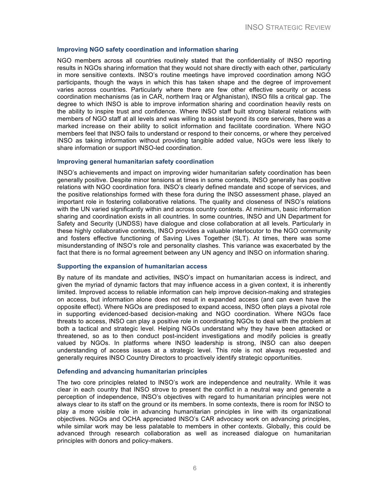#### **Improving NGO safety coordination and information sharing**

NGO members across all countries routinely stated that the confidentiality of INSO reporting results in NGOs sharing information that they would not share directly with each other, particularly in more sensitive contexts. INSO's routine meetings have improved coordination among NGO participants, though the ways in which this has taken shape and the degree of improvement varies across countries. Particularly where there are few other effective security or access coordination mechanisms (as in CAR, northern Iraq or Afghanistan), INSO fills a critical gap. The degree to which INSO is able to improve information sharing and coordination heavily rests on the ability to inspire trust and confidence. Where INSO staff built strong bilateral relations with members of NGO staff at all levels and was willing to assist beyond its core services, there was a marked increase on their ability to solicit information and facilitate coordination. Where NGO members feel that INSO fails to understand or respond to their concerns, or where they perceived INSO as taking information without providing tangible added value, NGOs were less likely to share information or support INSO-led coordination.

#### **Improving general humanitarian safety coordination**

INSO's achievements and impact on improving wider humanitarian safety coordination has been generally positive. Despite minor tensions at times in some contexts, INSO generally has positive relations with NGO coordination fora. INSO's clearly defined mandate and scope of services, and the positive relationships formed with these fora during the INSO assessment phase, played an important role in fostering collaborative relations. The quality and closeness of INSO's relations with the UN varied significantly within and across country contexts. At minimum, basic information sharing and coordination exists in all countries. In some countries, INSO and UN Department for Safety and Security (UNDSS) have dialogue and close collaboration at all levels. Particularly in these highly collaborative contexts, INSO provides a valuable interlocutor to the NGO community and fosters effective functioning of Saving Lives Together (SLT). At times, there was some misunderstanding of INSO's role and personality clashes. This variance was exacerbated by the fact that there is no formal agreement between any UN agency and INSO on information sharing.

#### **Supporting the expansion of humanitarian access**

By nature of its mandate and activities, INSO's impact on humanitarian access is indirect, and given the myriad of dynamic factors that may influence access in a given context, it is inherently limited. Improved access to reliable information can help improve decision-making and strategies on access, but information alone does not result in expanded access (and can even have the opposite effect). Where NGOs are predisposed to expand access, INSO often plays a pivotal role in supporting evidenced-based decision-making and NGO coordination. Where NGOs face threats to access, INSO can play a positive role in coordinating NGOs to deal with the problem at both a tactical and strategic level. Helping NGOs understand why they have been attacked or threatened, so as to then conduct post-incident investigations and modify policies is greatly valued by NGOs. In platforms where INSO leadership is strong, INSO can also deepen understanding of access issues at a strategic level. This role is not always requested and generally requires INSO Country Directors to proactively identify strategic opportunities.

#### **Defending and advancing humanitarian principles**

The two core principles related to INSO's work are independence and neutrality. While it was clear in each country that INSO strove to present the conflict in a neutral way and generate a perception of independence, INSO's objectives with regard to humanitarian principles were not always clear to its staff on the ground or its members. In some contexts, there is room for INSO to play a more visible role in advancing humanitarian principles in line with its organizational objectives. NGOs and OCHA appreciated INSO's CAR advocacy work on advancing principles, while similar work may be less palatable to members in other contexts. Globally, this could be advanced through research collaboration as well as increased dialogue on humanitarian principles with donors and policy-makers.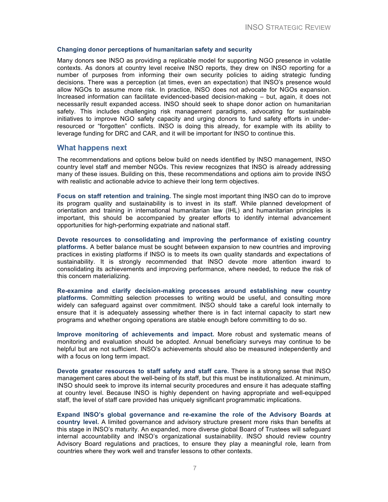#### **Changing donor perceptions of humanitarian safety and security**

Many donors see INSO as providing a replicable model for supporting NGO presence in volatile contexts. As donors at country level receive INSO reports, they drew on INSO reporting for a number of purposes from informing their own security policies to aiding strategic funding decisions. There was a perception (at times, even an expectation) that INSO's presence would allow NGOs to assume more risk. In practice, INSO does not advocate for NGOs expansion. Increased information can facilitate evidenced-based decision-making – but, again, it does not necessarily result expanded access. INSO should seek to shape donor action on humanitarian safety. This includes challenging risk management paradigms, advocating for sustainable initiatives to improve NGO safety capacity and urging donors to fund safety efforts in underresourced or "forgotten" conflicts. INSO is doing this already, for example with its ability to leverage funding for DRC and CAR, and it will be important for INSO to continue this.

#### **What happens next**

The recommendations and options below build on needs identified by INSO management, INSO country level staff and member NGOs. This review recognizes that INSO is already addressing many of these issues. Building on this, these recommendations and options aim to provide INSO with realistic and actionable advice to achieve their long term objectives.

**Focus on staff retention and training.** The single most important thing INSO can do to improve its program quality and sustainability is to invest in its staff. While planned development of orientation and training in international humanitarian law (IHL) and humanitarian principles is important, this should be accompanied by greater efforts to identify internal advancement opportunities for high-performing expatriate and national staff.

**Devote resources to consolidating and improving the performance of existing country platforms.** A better balance must be sought between expansion to new countries and improving practices in existing platforms if INSO is to meets its own quality standards and expectations of sustainability. It is strongly recommended that INSO devote more attention inward to consolidating its achievements and improving performance, where needed, to reduce the risk of this concern materializing.

**Re-examine and clarify decision-making processes around establishing new country platforms.** Committing selection processes to writing would be useful, and consulting more widely can safeguard against over commitment. INSO should take a careful look internally to ensure that it is adequately assessing whether there is in fact internal capacity to start new programs and whether ongoing operations are stable enough before committing to do so.

**Improve monitoring of achievements and impact.** More robust and systematic means of monitoring and evaluation should be adopted. Annual beneficiary surveys may continue to be helpful but are not sufficient. INSO's achievements should also be measured independently and with a focus on long term impact.

**Devote greater resources to staff safety and staff care.** There is a strong sense that INSO management cares about the well-being of its staff, but this must be institutionalized. At minimum, INSO should seek to improve its internal security procedures and ensure it has adequate staffing at country level. Because INSO is highly dependent on having appropriate and well-equipped staff, the level of staff care provided has uniquely significant programmatic implications.

**Expand INSO's global governance and re-examine the role of the Advisory Boards at country level.** A limited governance and advisory structure present more risks than benefits at this stage in INSO's maturity. An expanded, more diverse global Board of Trustees will safeguard internal accountability and INSO's organizational sustainability. INSO should review country Advisory Board regulations and practices, to ensure they play a meaningful role, learn from countries where they work well and transfer lessons to other contexts.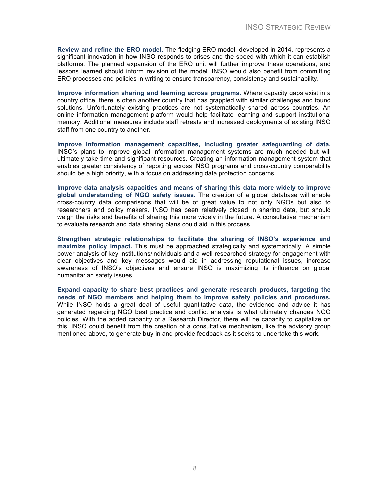**Review and refine the ERO model.** The fledging ERO model, developed in 2014, represents a significant innovation in how INSO responds to crises and the speed with which it can establish platforms. The planned expansion of the ERO unit will further improve these operations, and lessons learned should inform revision of the model. INSO would also benefit from committing ERO processes and policies in writing to ensure transparency, consistency and sustainability.

**Improve information sharing and learning across programs.** Where capacity gaps exist in a country office, there is often another country that has grappled with similar challenges and found solutions. Unfortunately existing practices are not systematically shared across countries. An online information management platform would help facilitate learning and support institutional memory. Additional measures include staff retreats and increased deployments of existing INSO staff from one country to another.

**Improve information management capacities, including greater safeguarding of data.** INSO's plans to improve global information management systems are much needed but will ultimately take time and significant resources. Creating an information management system that enables greater consistency of reporting across INSO programs and cross-country comparability should be a high priority, with a focus on addressing data protection concerns.

**Improve data analysis capacities and means of sharing this data more widely to improve global understanding of NGO safety issues.** The creation of a global database will enable cross-country data comparisons that will be of great value to not only NGOs but also to researchers and policy makers. INSO has been relatively closed in sharing data, but should weigh the risks and benefits of sharing this more widely in the future. A consultative mechanism to evaluate research and data sharing plans could aid in this process.

**Strengthen strategic relationships to facilitate the sharing of INSO's experience and maximize policy impact.** This must be approached strategically and systematically. A simple power analysis of key institutions/individuals and a well-researched strategy for engagement with clear objectives and key messages would aid in addressing reputational issues, increase awareness of INSO's objectives and ensure INSO is maximizing its influence on global humanitarian safety issues.

**Expand capacity to share best practices and generate research products, targeting the needs of NGO members and helping them to improve safety policies and procedures.** While INSO holds a great deal of useful quantitative data, the evidence and advice it has generated regarding NGO best practice and conflict analysis is what ultimately changes NGO policies. With the added capacity of a Research Director, there will be capacity to capitalize on this. INSO could benefit from the creation of a consultative mechanism, like the advisory group mentioned above, to generate buy-in and provide feedback as it seeks to undertake this work.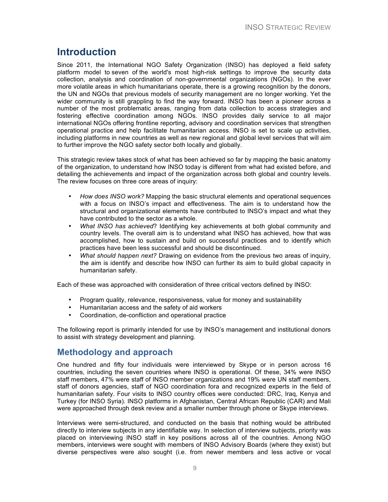### **Introduction**

Since 2011, the International NGO Safety Organization (INSO) has deployed a field safety platform model to seven of the world's most high-risk settings to improve the security data collection, analysis and coordination of non-governmental organizations (NGOs). In the ever more volatile areas in which humanitarians operate, there is a growing recognition by the donors, the UN and NGOs that previous models of security management are no longer working. Yet the wider community is still grappling to find the way forward. INSO has been a pioneer across a number of the most problematic areas, ranging from data collection to access strategies and fostering effective coordination among NGOs. INSO provides daily service to all major international NGOs offering frontline reporting, advisory and coordination services that strengthen operational practice and help facilitate humanitarian access. INSO is set to scale up activities, including platforms in new countries as well as new regional and global level services that will aim to further improve the NGO safety sector both locally and globally.

This strategic review takes stock of what has been achieved so far by mapping the basic anatomy of the organization, to understand how INSO today is different from what had existed before, and detailing the achievements and impact of the organization across both global and country levels. The review focuses on three core areas of inquiry:

- *How does INSO work?* Mapping the basic structural elements and operational sequences with a focus on INSO's impact and effectiveness. The aim is to understand how the structural and organizational elements have contributed to INSO's impact and what they have contributed to the sector as a whole.
- *What INSO has achieved*? Identifying key achievements at both global community and country levels. The overall aim is to understand what INSO has achieved, how that was accomplished, how to sustain and build on successful practices and to identify which practices have been less successful and should be discontinued.
- *What should happen next?* Drawing on evidence from the previous two areas of inquiry, the aim is identify and describe how INSO can further its aim to build global capacity in humanitarian safety.

Each of these was approached with consideration of three critical vectors defined by INSO:

- Program quality, relevance, responsiveness, value for money and sustainability
- Humanitarian access and the safety of aid workers
- Coordination, de-confliction and operational practice

The following report is primarily intended for use by INSO's management and institutional donors to assist with strategy development and planning.

### **Methodology and approach**

One hundred and fifty four individuals were interviewed by Skype or in person across 16 countries, including the seven countries where INSO is operational. Of these, 34% were INSO staff members, 47% were staff of INSO member organizations and 19% were UN staff members, staff of donors agencies, staff of NGO coordination fora and recognized experts in the field of humanitarian safety. Four visits to INSO country offices were conducted: DRC, Iraq, Kenya and Turkey (for INSO Syria). INSO platforms in Afghanistan, Central African Republic (CAR) and Mali were approached through desk review and a smaller number through phone or Skype interviews.

Interviews were semi-structured, and conducted on the basis that nothing would be attributed directly to interview subjects in any identifiable way. In selection of interview subjects, priority was placed on interviewing INSO staff in key positions across all of the countries. Among NGO members, interviews were sought with members of INSO Advisory Boards (where they exist) but diverse perspectives were also sought (i.e. from newer members and less active or vocal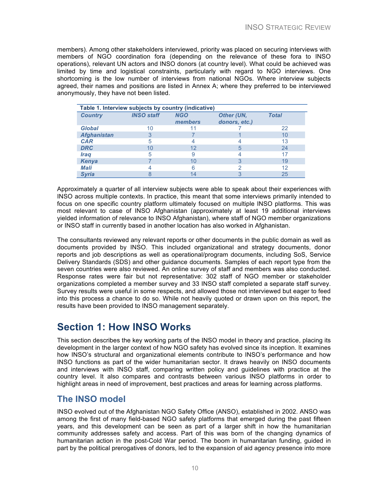members). Among other stakeholders interviewed, priority was placed on securing interviews with members of NGO coordination fora (depending on the relevance of these fora to INSO operations), relevant UN actors and INSO donors (at country level). What could be achieved was limited by time and logistical constraints, particularly with regard to NGO interviews. One shortcoming is the low number of interviews from national NGOs. Where interview subjects agreed, their names and positions are listed in Annex A; where they preferred to be interviewed anonymously, they have not been listed.

| Table 1. Interview subjects by country (indicative) |                   |                       |                             |              |
|-----------------------------------------------------|-------------------|-----------------------|-----------------------------|--------------|
| <b>Country</b>                                      | <b>INSO staff</b> | <b>NGO</b><br>members | Other (UN,<br>donors, etc.) | <b>Total</b> |
| <b>Global</b>                                       | 10                |                       |                             | 22           |
| <b>Afghanistan</b>                                  |                   |                       |                             | 10           |
| <b>CAR</b>                                          |                   |                       |                             | 13           |
| <b>DRC</b>                                          | 10                | 12                    | h                           | 24           |
| <i><b>Iraq</b></i>                                  | 5                 | 9                     |                             | 17           |
| Kenya                                               |                   | 10                    |                             | 19           |
| <b>Mali</b>                                         |                   |                       |                             | 12           |
| <b>Syria</b>                                        |                   |                       |                             | 25           |

Approximately a quarter of all interview subjects were able to speak about their experiences with INSO across multiple contexts. In practice, this meant that some interviews primarily intended to focus on one specific country platform ultimately focused on multiple INSO platforms. This was most relevant to case of INSO Afghanistan (approximately at least 19 additional interviews yielded information of relevance to INSO Afghanistan), where staff of NGO member organizations or INSO staff in currently based in another location has also worked in Afghanistan.

The consultants reviewed any relevant reports or other documents in the public domain as well as documents provided by INSO. This included organizational and strategy documents, donor reports and job descriptions as well as operational/program documents, including SoS, Service Delivery Standards (SDS) and other guidance documents. Samples of each report type from the seven countries were also reviewed. An online survey of staff and members was also conducted. Response rates were fair but not representative: 302 staff of NGO member or stakeholder organizations completed a member survey and 33 INSO staff completed a separate staff survey. Survey results were useful in some respects, and allowed those not interviewed but eager to feed into this process a chance to do so. While not heavily quoted or drawn upon on this report, the results have been provided to INSO management separately.

### **Section 1: How INSO Works**

This section describes the key working parts of the INSO model in theory and practice, placing its development in the larger context of how NGO safety has evolved since its inception. It examines how INSO's structural and organizational elements contribute to INSO's performance and how INSO functions as part of the wider humanitarian sector. It draws heavily on INSO documents and interviews with INSO staff, comparing written policy and guidelines with practice at the country level. It also compares and contrasts between various INSO platforms in order to highlight areas in need of improvement, best practices and areas for learning across platforms.

### **The INSO model**

INSO evolved out of the Afghanistan NGO Safety Office (ANSO), established in 2002. ANSO was among the first of many field-based NGO safety platforms that emerged during the past fifteen years, and this development can be seen as part of a larger shift in how the humanitarian community addresses safety and access. Part of this was born of the changing dynamics of humanitarian action in the post-Cold War period. The boom in humanitarian funding, guided in part by the political prerogatives of donors, led to the expansion of aid agency presence into more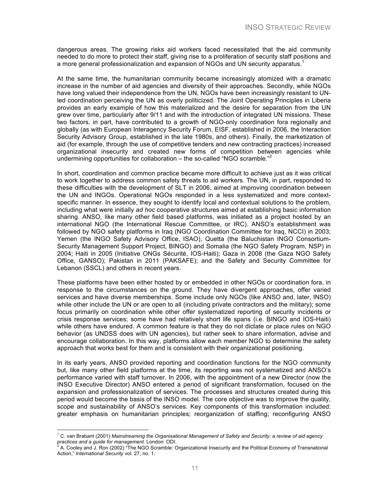dangerous areas. The growing risks aid workers faced necessitated that the aid community needed to do more to protect their staff, giving rise to a proliferation of security staff positions and a more general professionalization and expansion of NGOs and UN security apparatus.<sup>1</sup>

At the same time, the humanitarian community became increasingly atomized with a dramatic increase in the number of aid agencies and diversity of their approaches. Secondly, while NGOs have long valued their independence from the UN, NGOs have been increasingly resistant to UNled coordination perceiving the UN as overly politicized. The Joint Operating Principles in Liberia provides an early example of how this materialized and the desire for separation from the UN grew over time, particularly after 9/11 and with the introduction of integrated UN missions. These two factors, in part, have contributed to a growth of NGO-only coordination fora regionally and globally (as with European Interagency Security Forum, EISF, established in 2006, the Interaction Security Advisory Group, established in the late 1980s, and others). Finally, the marketization of aid (for example, through the use of competitive tenders and new contracting practices) increased organizational insecurity and created new forms of competition between agencies while undermining opportunities for collaboration - the so-called "NGO scramble."<sup>2</sup>

In short, coordination and common practice became more difficult to achieve just as it was critical to work together to address common safety threats to aid workers. The UN, in part, responded to these difficulties with the development of SLT in 2006, aimed at improving coordination between the UN and INGOs. Operational NGOs responded in a less systematized and more contextspecific manner. In essence, they sought to identify local and contextual solutions to the problem, including what were initially *ad hoc* cooperative structures aimed at establishing basic information sharing. ANSO, like many other field based platforms, was initiated as a project hosted by an international NGO (the International Rescue Committee, or IRC). ANSO's establishment was followed by NGO safety platforms in Iraq (NGO Coordination Committee for Iraq, NCCI) in 2003; Yemen (the INGO Safety Advisory Office, ISAO), Quetta (the Baluchistan INGO Consortium-Security Management Support Project, BINGO) and Somalia (the NGO Safety Program, NSP) in 2004; Haiti in 2005 (Initiative ONGs Sécurité, IOS-Haiti); Gaza in 2008 (the Gaza NGO Safety Office, GANSO); Pakistan in 2011 (PAKSAFE); and the Safety and Security Committee for Lebanon (SSCL) and others in recent years.

These platforms have been either hosted by or embedded in other NGOs or coordination fora, in response to the circumstances on the ground. They have divergent approaches, offer varied services and have diverse memberships. Some include only NGOs (like ANSO and, later, INSO) while other include the UN or are open to all (including private contractors and the military); some focus primarily on coordination while other offer systematized reporting of security incidents or crisis response services; some have had relatively short life spans (i.e. BINGO and IOS-Haiti) while others have endured. A common feature is that they do not dictate or place rules on NGO behavior (as UNDSS does with UN agencies), but rather seek to share information, advise and encourage collaboration. In this way, platforms allow each member NGO to determine the safety approach that works best for them and is consistent with their organizational positioning.

In its early years, ANSO provided reporting and coordination functions for the NGO community but, like many other field platforms at the time, its reporting was not systematized and ANSO's performance varied with staff turnover. In 2006, with the appointment of a new Director (now the INSO Executive Director) ANSO entered a period of significant transformation, focused on the expansion and professionalization of services. The processes and structures created during this period would become the basis of the INSO model. The core objective was to improve the quality, scope and sustainability of ANSO's services. Key components of this transformation included: greater emphasis on humanitarian principles; reorganization of staffing; reconfiguring ANSO

 

<sup>1</sup> C. van Brabant (2001) *Mainstreaming the Organisational Management of Safety and Security: a review of aid agency practices and a guide for management*. London: ODI.<br><sup>2</sup> A. Cooley and J. Ron (2002) "The NGO Scramble: Organizational Insecurity and the Political Economy of Transnational

Action," *International Security* vol. 27, no. 1.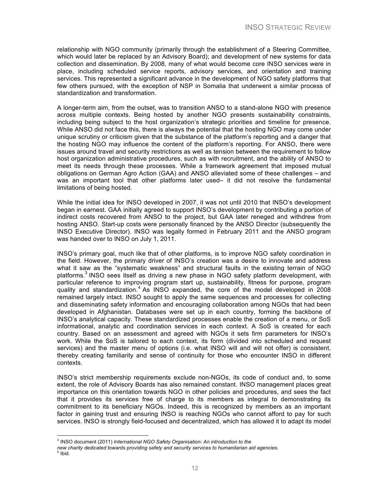relationship with NGO community (primarily through the establishment of a Steering Committee, which would later be replaced by an Advisory Board); and development of new systems for data collection and dissemination. By 2008, many of what would become core INSO services were in place, including scheduled service reports, advisory services, and orientation and training services. This represented a significant advance in the development of NGO safety platforms that few others pursued, with the exception of NSP in Somalia that underwent a similar process of standardization and transformation.

A longer-term aim, from the outset, was to transition ANSO to a stand-alone NGO with presence across multiple contexts. Being hosted by another NGO presents sustainability constraints, including being subject to the host organization's strategic priorities and timeline for presence. While ANSO did not face this, there is always the potential that the hosting NGO may come under unique scrutiny or criticism given that the substance of the platform's reporting and a danger that the hosting NGO may influence the content of the platform's reporting. For ANSO, there were issues around travel and security restrictions as well as tension between the requirement to follow host organization administrative procedures, such as with recruitment, and the ability of ANSO to meet its needs through these processes. While a framework agreement that imposed mutual obligations on German Agro Action (GAA) and ANSO alleviated some of these challenges – and was an important tool that other platforms later used– it did not resolve the fundamental limitations of being hosted.

While the initial idea for INSO developed in 2007, it was not until 2010 that INSO's development began in earnest. GAA initially agreed to support INSO's development by contributing a portion of indirect costs recovered from ANSO to the project, but GAA later reneged and withdrew from hosting ANSO. Start-up costs were personally financed by the ANSO Director (subsequently the INSO Executive Director). INSO was legally formed in February 2011 and the ANSO program was handed over to INSO on July 1, 2011.

INSO's primary goal, much like that of other platforms, is to improve NGO safety coordination in the field. However, the primary driver of INSO's creation was a desire to innovate and address what it saw as the "systematic weakness" and structural faults in the existing terrain of NGO platforms.<sup>3</sup> INSO sees itself as driving a new phase in NGO safety platform development, with particular reference to improving program start up, sustainability, fitness for purpose, program quality and standardization.<sup>4</sup> As INSO expanded, the core of the model developed in 2008 remained largely intact. INSO sought to apply the same sequences and processes for collecting and disseminating safety information and encouraging collaboration among NGOs that had been developed in Afghanistan. Databases were set up in each country, forming the backbone of INSO's analytical capacity. These standardized processes enable the creation of a menu, or SoS informational, analytic and coordination services in each context. A SoS is created for each country. Based on an assessment and agreed with NGOs it sets firm parameters for INSO's work. While the SoS is tailored to each context, its form (divided into scheduled and request services) and the master menu of options (i.e. what INSO will and will not offer) is consistent, thereby creating familiarity and sense of continuity for those who encounter INSO in different contexts.

INSO's strict membership requirements exclude non-NGOs, its code of conduct and, to some extent, the role of Advisory Boards has also remained constant. INSO management places great importance on this orientation towards NGO in other policies and procedures, and sees the fact that it provides its services free of charge to its members as integral to demonstrating its commitment to its beneficiary NGOs. Indeed, this is recognized by members as an important factor in gaining trust and ensuring INSO is reaching NGOs who cannot afford to pay for such services. INSO is strongly field-focused and decentralized, which has allowed it to adapt its model

 <sup>3</sup> INSO document (2011) *International NGO Safety Organisation: An introduction to the*

*new charity dedicated towards providing safety and security services to humanitarian aid agencies.* <sup>4</sup> Ibid.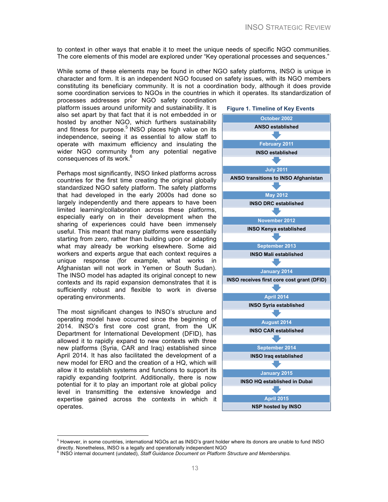to context in other ways that enable it to meet the unique needs of specific NGO communities. The core elements of this model are explored under "Key operational processes and sequences."

While some of these elements may be found in other NGO safety platforms, INSO is unique in character and form. It is an independent NGO focused on safety issues, with its NGO members constituting its beneficiary community. It is not a coordination body, although it does provide some coordination services to NGOs in the countries in which it operates. Its standardization of processes addresses prior NGO safety coordination

platform issues around uniformity and sustainability. It is also set apart by that fact that it is not embedded in or hosted by another NGO, which furthers sustainability and fitness for purpose.<sup>5</sup> INSO places high value on its independence, seeing it as essential to allow staff to operate with maximum efficiency and insulating the wider NGO community from any potential negative consequences of its work.<sup>6</sup>

Perhaps most significantly, INSO linked platforms across countries for the first time creating the original globally standardized NGO safety platform. The safety platforms that had developed in the early 2000s had done so largely independently and there appears to have been limited learning/collaboration across these platforms, especially early on in their development when the sharing of experiences could have been immensely useful. This meant that many platforms were essentially starting from zero, rather than building upon or adapting what may already be working elsewhere. Some aid workers and experts argue that each context requires a unique response (for example, what works in Afghanistan will not work in Yemen or South Sudan). The INSO model has adapted its original concept to new contexts and its rapid expansion demonstrates that it is sufficiently robust and flexible to work in diverse operating environments.

The most significant changes to INSO's structure and operating model have occurred since the beginning of 2014. INSO's first core cost grant, from the UK Department for International Development (DFID), has allowed it to rapidly expand to new contexts with three new platforms (Syria, CAR and Iraq) established since April 2014. It has also facilitated the development of a new model for ERO and the creation of a HQ, which will allow it to establish systems and functions to support its rapidly expanding footprint. Additionally, there is now potential for it to play an important role at global policy level in transmitting the extensive knowledge and expertise gained across the contexts in which it operates.



  $<sup>5</sup>$  However, in some countries, international NGOs act as INSO's grant holder where its donors are unable to fund INSO</sup> directly. Nonetheless, INSO is a legally and operationally independent NGO

<sup>6</sup> INSO internal document (undated), *Staff Guidance Document on Platform Structure and Memberships.*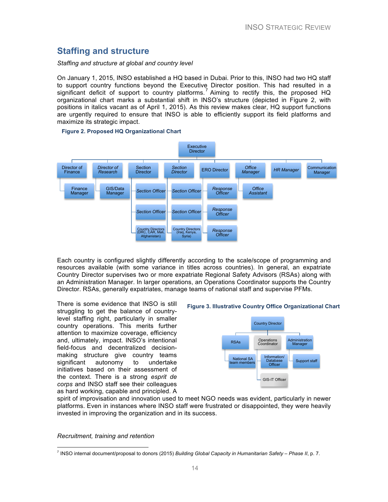### **Staffing and structure**

#### *Staffing and structure at global and country level*

On January 1, 2015, INSO established a HQ based in Dubai. Prior to this, INSO had two HQ staff to support country functions beyond the Executive Director position. This had resulted in a significant deficit of support to country platforms.<sup>7</sup> Aiming to rectify this, the proposed HQ organizational chart marks a substantial shift in INSO's structure (depicted in Figure 2, with positions in italics vacant as of April 1, 2015). As this review makes clear, HQ support functions are urgently required to ensure that INSO is able to efficiently support its field platforms and maximize its strategic impact.



#### **Figure 2. Proposed HQ Organizational Chart**

Each country is configured slightly differently according to the scale/scope of programming and resources available (with some variance in titles across countries). In general, an expatriate Country Director supervises two or more expatriate Regional Safety Advisors (RSAs) along with an Administration Manager. In larger operations, an Operations Coordinator supports the Country Director. RSAs, generally expatriates, manage teams of national staff and supervise PFMs.

There is some evidence that INSO is still struggling to get the balance of countrylevel staffing right, particularly in smaller country operations. This merits further attention to maximize coverage, efficiency and, ultimately, impact. INSO's intentional field-focus and decentralized decisionmaking structure give country teams significant autonomy to undertake initiatives based on their assessment of the context. There is a strong *esprit de corps* and INSO staff see their colleagues as hard working, capable and principled. A

#### **Figure 3. Illustrative Country Office Organizational Chart**



spirit of improvisation and innovation used to meet NGO needs was evident, particularly in newer platforms. Even in instances where INSO staff were frustrated or disappointed, they were heavily invested in improving the organization and in its success.

*Recruitment, training and retention* 

 <sup>7</sup> INSO internal document/proposal to donors (2015) *Building Global Capacity in Humanitarian Safety – Phase II*, p. 7.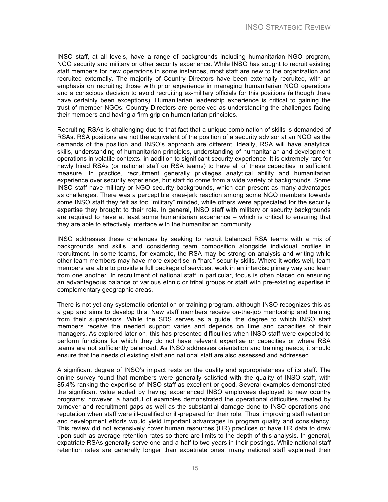INSO staff, at all levels, have a range of backgrounds including humanitarian NGO program, NGO security and military or other security experience. While INSO has sought to recruit existing staff members for new operations in some instances, most staff are new to the organization and recruited externally. The majority of Country Directors have been externally recruited, with an emphasis on recruiting those with prior experience in managing humanitarian NGO operations and a conscious decision to avoid recruiting ex-military officials for this positions (although there have certainly been exceptions). Humanitarian leadership experience is critical to gaining the trust of member NGOs; Country Directors are perceived as understanding the challenges facing their members and having a firm grip on humanitarian principles.

Recruiting RSAs is challenging due to that fact that a unique combination of skills is demanded of RSAs. RSA positions are not the equivalent of the position of a security advisor at an NGO as the demands of the position and INSO's approach are different. Ideally, RSA will have analytical skills, understanding of humanitarian principles, understanding of humanitarian and development operations in volatile contexts, in addition to significant security experience. It is extremely rare for newly hired RSAs (or national staff on RSA teams) to have all of these capacities in sufficient measure. In practice, recruitment generally privileges analytical ability and humanitarian experience over security experience, but staff do come from a wide variety of backgrounds. Some INSO staff have military or NGO security backgrounds, which can present as many advantages as challenges. There was a perceptible knee-jerk reaction among some NGO members towards some INSO staff they felt as too "military" minded, while others were appreciated for the security expertise they brought to their role. In general, INSO staff with military or security backgrounds are required to have at least some humanitarian experience – which is critical to ensuring that they are able to effectively interface with the humanitarian community.

INSO addresses these challenges by seeking to recruit balanced RSA teams with a mix of backgrounds and skills, and considering team composition alongside individual profiles in recruitment. In some teams, for example, the RSA may be strong on analysis and writing while other team members may have more expertise in "hard" security skills. Where it works well, team members are able to provide a full package of services, work in an interdisciplinary way and learn from one another. In recruitment of national staff in particular, focus is often placed on ensuring an advantageous balance of various ethnic or tribal groups or staff with pre-existing expertise in complementary geographic areas.

There is not yet any systematic orientation or training program, although INSO recognizes this as a gap and aims to develop this. New staff members receive on-the-job mentorship and training from their supervisors. While the SDS serves as a guide, the degree to which INSO staff members receive the needed support varies and depends on time and capacities of their managers. As explored later on, this has presented difficulties when INSO staff were expected to perform functions for which they do not have relevant expertise or capacities or where RSA teams are not sufficiently balanced. As INSO addresses orientation and training needs, it should ensure that the needs of existing staff and national staff are also assessed and addressed.

A significant degree of INSO's impact rests on the quality and appropriateness of its staff. The online survey found that members were generally satisfied with the quality of INSO staff, with 85.4% ranking the expertise of INSO staff as excellent or good. Several examples demonstrated the significant value added by having experienced INSO employees deployed to new country programs; however, a handful of examples demonstrated the operational difficulties created by turnover and recruitment gaps as well as the substantial damage done to INSO operations and reputation when staff were ill-qualified or ill-prepared for their role. Thus, improving staff retention and development efforts would yield important advantages in program quality and consistency. This review did not extensively cover human resources (HR) practices or have HR data to draw upon such as average retention rates so there are limits to the depth of this analysis. In general, expatriate RSAs generally serve one-and-a-half to two years in their postings. While national staff retention rates are generally longer than expatriate ones, many national staff explained their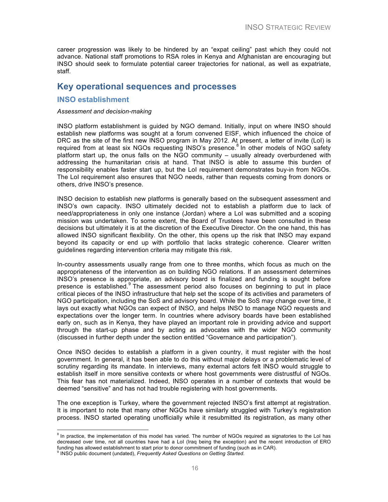career progression was likely to be hindered by an "expat ceiling" past which they could not advance. National staff promotions to RSA roles in Kenya and Afghanistan are encouraging but INSO should seek to formulate potential career trajectories for national, as well as expatriate, staff.

### **Key operational sequences and processes**

#### **INSO establishment**

#### *Assessment and decision-making*

INSO platform establishment is guided by NGO demand. Initially, input on where INSO should establish new platforms was sought at a forum convened EISF, which influenced the choice of DRC as the site of the first new INSO program in May 2012. At present, a letter of invite (LoI) is required from at least six NGOs requesting INSO's presence.<sup>8</sup> In other models of NGO safety platform start up, the onus falls on the NGO community – usually already overburdened with addressing the humanitarian crisis at hand. That INSO is able to assume this burden of responsibility enables faster start up, but the LoI requirement demonstrates buy-in from NGOs. The LoI requirement also ensures that NGO needs, rather than requests coming from donors or others, drive INSO's presence.

INSO decision to establish new platforms is generally based on the subsequent assessment and INSO's own capacity. INSO ultimately decided not to establish a platform due to lack of need/appropriateness in only one instance (Jordan) where a LoI was submitted and a scoping mission was undertaken. To some extent, the Board of Trustees have been consulted in these decisions but ultimately it is at the discretion of the Executive Director. On the one hand, this has allowed INSO significant flexibility. On the other, this opens up the risk that INSO may expand beyond its capacity or end up with portfolio that lacks strategic coherence. Clearer written guidelines regarding intervention criteria may mitigate this risk.

In-country assessments usually range from one to three months, which focus as much on the appropriateness of the intervention as on building NGO relations. If an assessment determines INSO's presence is appropriate, an advisory board is finalized and funding is sought before presence is established. $9$  The assessment period also focuses on beginning to put in place critical pieces of the INSO infrastructure that help set the scope of its activities and parameters of NGO participation, including the SoS and advisory board. While the SoS may change over time, it lays out exactly what NGOs can expect of INSO, and helps INSO to manage NGO requests and expectations over the longer term. In countries where advisory boards have been established early on, such as in Kenya, they have played an important role in providing advice and support through the start-up phase and by acting as advocates with the wider NGO community (discussed in further depth under the section entitled "Governance and participation").

Once INSO decides to establish a platform in a given country, it must register with the host government. In general, it has been able to do this without major delays or a problematic level of scrutiny regarding its mandate. In interviews, many external actors felt INSO would struggle to establish itself in more sensitive contexts or where host governments were distrustful of NGOs. This fear has not materialized. Indeed, INSO operates in a number of contexts that would be deemed "sensitive" and has not had trouble registering with host governments.

The one exception is Turkey, where the government rejected INSO's first attempt at registration. It is important to note that many other NGOs have similarly struggled with Turkey's registration process. INSO started operating unofficially while it resubmitted its registration, as many other

 

 $8$  In practice, the implementation of this model has varied. The number of NGOs required as signatories to the LoI has decreased over time, not all countries have had a LoI (Iraq being the exception) and the recent introduction of ERO funding has allowed establishment to start prior to donor commitment of funding (such as in CAR).

<sup>9</sup> INSO public document (undated), *Frequently Asked Questions on Getting Started*.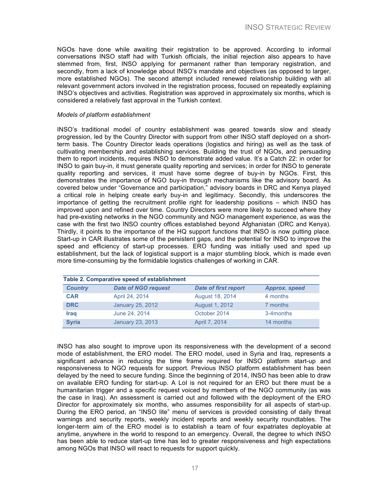NGOs have done while awaiting their registration to be approved. According to informal conversations INSO staff had with Turkish officials, the initial rejection also appears to have stemmed from, first, INSO applying for permanent rather than temporary registration, and secondly, from a lack of knowledge about INSO's mandate and objectives (as opposed to larger, more established NGOs). The second attempt included renewed relationship building with all relevant government actors involved in the registration process, focused on repeatedly explaining INSO's objectives and activities. Registration was approved in approximately six months, which is considered a relatively fast approval in the Turkish context.

#### *Models of platform establishment*

INSO's traditional model of country establishment was geared towards slow and steady progression, led by the Country Director with support from other INSO staff deployed on a shortterm basis. The Country Director leads operations (logistics and hiring) as well as the task of cultivating membership and establishing services. Building the trust of NGOs, and persuading them to report incidents, requires INSO to demonstrate added value. It's a Catch 22: in order for INSO to gain buy-in, it must generate quality reporting and services; in order for INSO to generate quality reporting and services, it must have some degree of buy-in by NGOs. First, this demonstrates the importance of NGO buy-in through mechanisms like the advisory board. As covered below under "Governance and participation," advisory boards in DRC and Kenya played a critical role in helping create early buy-in and legitimacy. Secondly, this underscores the importance of getting the recruitment profile right for leadership positions – which INSO has improved upon and refined over time. Country Directors were more likely to succeed where they had pre-existing networks in the NGO community and NGO management experience, as was the case with the first two INSO country offices established beyond Afghanistan (DRC and Kenya). Thirdly, it points to the importance of the HQ support functions that INSO is now putting place. Start-up in CAR illustrates some of the persistent gaps, and the potential for INSO to improve the speed and efficiency of start-up processes. ERO funding was initially used and sped up establishment, but the lack of logistical support is a major stumbling block, which is made even more time-consuming by the formidable logistics challenges of working in CAR.

| Table 2. Comparative speed of establishment |                            |                             |                      |
|---------------------------------------------|----------------------------|-----------------------------|----------------------|
| <b>Country</b>                              | <b>Date of NGO request</b> | <b>Date of first report</b> | <b>Approx. speed</b> |
| <b>CAR</b>                                  | April 24, 2014             | August 18, 2014             | 4 months             |
| <b>DRC</b>                                  | January 25, 2012           | August 1, 2012              | 7 months             |
| <b>Iraq</b>                                 | June 24, 2014              | October 2014                | 3-4 months           |
| <b>Syria</b>                                | January 23, 2013           | April 7, 2014               | 14 months            |

INSO has also sought to improve upon its responsiveness with the development of a second mode of establishment, the ERO model. The ERO model, used in Syria and Iraq, represents a significant advance in reducing the time frame required for INSO platform start-up and responsiveness to NGO requests for support. Previous INSO platform establishment has been delayed by the need to secure funding. Since the beginning of 2014, INSO has been able to draw on available ERO funding for start-up. A LoI is not required for an ERO but there must be a humanitarian trigger and a specific request voiced by members of the NGO community (as was the case in Iraq). An assessment is carried out and followed with the deployment of the ERO Director for approximately six months, who assumes responsibility for all aspects of start-up. During the ERO period, an "INSO lite" menu of services is provided consisting of daily threat warnings and security reports, weekly incident reports and weekly security roundtables. The longer-term aim of the ERO model is to establish a team of four expatriates deployable at anytime, anywhere in the world to respond to an emergency. Overall, the degree to which INSO has been able to reduce start-up time has led to greater responsiveness and high expectations among NGOs that INSO will react to requests for support quickly.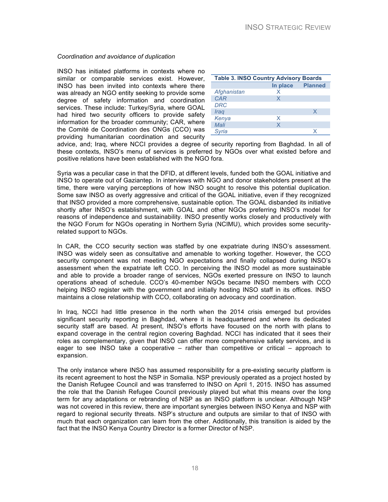#### *Coordination and avoidance of duplication*

INSO has initiated platforms in contexts where no similar or comparable services exist. However, INSO has been invited into contexts where there was already an NGO entity seeking to provide some degree of safety information and coordination services. These include: Turkey/Syria, where GOAL had hired two security officers to provide safety information for the broader community; CAR, where the Comité de Coordination des ONGs (CCO) was providing humanitarian coordination and security

| <b>Table 3. INSO Country Advisory Boards</b> |          |                |
|----------------------------------------------|----------|----------------|
|                                              | In place | <b>Planned</b> |
| Afghanistan                                  | x        |                |
| <b>CAR</b>                                   | X        |                |
| <b>DRC</b>                                   |          |                |
| Iraq                                         |          | X              |
| Kenya                                        | X        |                |
| Mali                                         | X        |                |
| Svria                                        |          |                |

advice, and; Iraq, where NCCI provides a degree of security reporting from Baghdad. In all of these contexts, INSO's menu of services is preferred by NGOs over what existed before and positive relations have been established with the NGO fora.

Syria was a peculiar case in that the DFID, at different levels, funded both the GOAL initiative and INSO to operate out of Gaziantep. In interviews with NGO and donor stakeholders present at the time, there were varying perceptions of how INSO sought to resolve this potential duplication. Some saw INSO as overly aggressive and critical of the GOAL initiative, even if they recognized that INSO provided a more comprehensive, sustainable option. The GOAL disbanded its initiative shortly after INSO's establishment, with GOAL and other NGOs preferring INSO's model for reasons of independence and sustainability. INSO presently works closely and productively with the NGO Forum for NGOs operating in Northern Syria (NCIMU), which provides some securityrelated support to NGOs.

In CAR, the CCO security section was staffed by one expatriate during INSO's assessment. INSO was widely seen as consultative and amenable to working together. However, the CCO security component was not meeting NGO expectations and finally collapsed during INSO's assessment when the expatriate left CCO. In perceiving the INSO model as more sustainable and able to provide a broader range of services, NGOs exerted pressure on INSO to launch operations ahead of schedule. CCO's 40-member NGOs became INSO members with CCO helping INSO register with the government and initially hosting INSO staff in its offices. INSO maintains a close relationship with CCO, collaborating on advocacy and coordination.

In Iraq, NCCI had little presence in the north when the 2014 crisis emerged but provides significant security reporting in Baghdad, where it is headquartered and where its dedicated security staff are based. At present, INSO's efforts have focused on the north with plans to expand coverage in the central region covering Baghdad. NCCI has indicated that it sees their roles as complementary, given that INSO can offer more comprehensive safety services, and is eager to see INSO take a cooperative – rather than competitive or critical – approach to expansion.

The only instance where INSO has assumed responsibility for a pre-existing security platform is its recent agreement to host the NSP in Somalia. NSP previously operated as a project hosted by the Danish Refugee Council and was transferred to INSO on April 1, 2015. INSO has assumed the role that the Danish Refugee Council previously played but what this means over the long term for any adaptations or rebranding of NSP as an INSO platform is unclear. Although NSP was not covered in this review, there are important synergies between INSO Kenya and NSP with regard to regional security threats. NSP's structure and outputs are similar to that of INSO with much that each organization can learn from the other. Additionally, this transition is aided by the fact that the INSO Kenya Country Director is a former Director of NSP.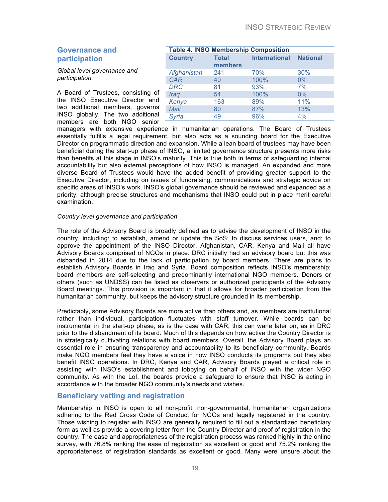#### **Governance and participation**

*Global level governance and participation* 

A Board of Trustees, consisting of the INSO Executive Director and two additional members, governs INSO globally. The two additional members are both NGO senior

| <b>Table 4. INSO Membership Composition</b> |                         |                      |                 |
|---------------------------------------------|-------------------------|----------------------|-----------------|
| <b>Country</b>                              | <b>Total</b><br>members | <b>International</b> | <b>National</b> |
| Afghanistan                                 | 241                     | 70%                  | 30%             |
| <b>CAR</b>                                  | 40                      | 100%                 | 0%              |
| <b>DRC</b>                                  | 81                      | 93%                  | 7%              |
| Iraq                                        | 54                      | 100%                 | 0%              |
| Kenya                                       | 163                     | 89%                  | 11%             |
| Mali                                        | 80                      | 87%                  | 13%             |
| Syria                                       | 49                      | 96%                  | 4%              |

managers with extensive experience in humanitarian operations. The Board of Trustees essentially fulfills a legal requirement, but also acts as a sounding board for the Executive Director on programmatic direction and expansion. While a lean board of trustees may have been beneficial during the start-up phase of INSO, a limited governance structure presents more risks than benefits at this stage in INSO's maturity. This is true both in terms of safeguarding internal accountability but also external perceptions of how INSO is managed. An expanded and more diverse Board of Trustees would have the added benefit of providing greater support to the Executive Director, including on issues of fundraising, communications and strategic advice on specific areas of INSO's work. INSO's global governance should be reviewed and expanded as a priority, although precise structures and mechanisms that INSO could put in place merit careful examination.

#### *Country level governance and participation*

The role of the Advisory Board is broadly defined as to advise the development of INSO in the country, including: to establish, amend or update the SoS; to discuss services users, and; to approve the appointment of the INSO Director. Afghanistan, CAR, Kenya and Mali all have Advisory Boards comprised of NGOs in place. DRC initially had an advisory board but this was disbanded in 2014 due to the lack of participation by board members. There are plans to establish Advisory Boards in Iraq and Syria. Board composition reflects INSO's membership: board members are self-selecting and predominantly international NGO members. Donors or others (such as UNDSS) can be listed as observers or authorized participants of the Advisory Board meetings. This provision is important in that it allows for broader participation from the humanitarian community, but keeps the advisory structure grounded in its membership.

Predictably, some Advisory Boards are more active than others and, as members are institutional rather than individual, participation fluctuates with staff turnover. While boards can be instrumental in the start-up phase, as is the case with CAR, this can wane later on, as in DRC prior to the disbandment of its board. Much of this depends on how active the Country Director is in strategically cultivating relations with board members. Overall, the Advisory Board plays an essential role in ensuring transparency and accountability to its beneficiary community. Boards make NGO members feel they have a voice in how INSO conducts its programs but they also benefit INSO operations. In DRC, Kenya and CAR, Advisory Boards played a critical role in assisting with INSO's establishment and lobbying on behalf of INSO with the wider NGO community. As with the LoI, the boards provide a safeguard to ensure that INSO is acting in accordance with the broader NGO community's needs and wishes.

#### **Beneficiary vetting and registration**

Membership in INSO is open to all non-profit, non-governmental, humanitarian organizations adhering to the Red Cross Code of Conduct for NGOs and legally registered in the country. Those wishing to register with INSO are generally required to fill out a standardized beneficiary form as well as provide a covering letter from the Country Director and proof of registration in the country. The ease and appropriateness of the registration process was ranked highly in the online survey, with 76.8% ranking the ease of registration as excellent or good and 75.2% ranking the appropriateness of registration standards as excellent or good. Many were unsure about the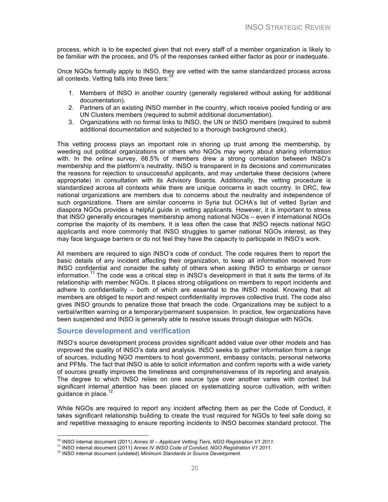process, which is to be expected given that not every staff of a member organization is likely to be familiar with the process, and 0% of the responses ranked either factor as poor or inadequate.

Once NGOs formally apply to INSO, they are vetted with the same standardized process across all contexts. Vetting falls into three tiers:

- 1. Members of INSO in another country (generally registered without asking for additional documentation).
- 2. Partners of an existing INSO member in the country, which receive pooled funding or are UN Clusters members (required to submit additional documentation).
- 3. Organizations with no formal links to INSO, the UN or INSO members (required to submit additional documentation and subjected to a thorough background check).

This vetting process plays an important role in shoring up trust among the membership, by weeding out political organizations or others who NGOs may worry about sharing information with. In the online survey, 66.5% of members drew a strong correlation between INSO's membership and the platform's neutrality. INSO is transparent in its decisions and communicates the reasons for rejection to unsuccessful applicants, and may undertake these decisions (where appropriate) in consultation with its Advisory Boards. Additionally, the vetting procedure is standardized across all contexts while there are unique concerns in each country. In DRC, few national organizations are members due to concerns about the neutrality and independence of such organizations. There are similar concerns in Syria but OCHA's list of vetted Syrian and diaspora NGOs provides a helpful guide in vetting applicants. However, it is important to stress that INSO generally encourages membership among national NGOs – even if international NGOs comprise the majority of its members. It is less often the case that INSO rejects national NGO applicants and more commonly that INSO struggles to garner national NGOs interest, as they may face language barriers or do not feel they have the capacity to participate in INSO's work.

All members are required to sign INSO's code of conduct. The code requires them to report the basic details of any incident affecting their organization, to keep all information received from INSO confidential and consider the safety of others when asking INSO to embargo or censor information.<sup>11</sup> The code was a critical step in INSO's development in that it sets the terms of its relationship with member NGOs. It places strong obligations on members to report incidents and adhere to confidentiality – both of which are essential to the INSO model. Knowing that all members are obliged to report and respect confidentiality improves collective trust. The code also gives INSO grounds to penalize those that breach the code. Organizations may be subject to a verbal/written warning or a temporary/permanent suspension. In practice, few organizations have been suspended and INSO is generally able to resolve issues through dialogue with NGOs.

#### **Source development and verification**

INSO's source development process provides significant added value over other models and has improved the quality of INSO's data and analysis. INSO seeks to gather information from a range of sources, including NGO members to host government, embassy contacts, personal networks and PFMs. The fact that INSO is able to solicit information and confirm reports with a wide variety of sources greatly improves the timeliness and comprehensiveness of its reporting and analysis. The degree to which INSO relies on one source type over another varies with context but significant internal attention has been placed on systematizing source cultivation, with written guidance in place. $1$ 

While NGOs are required to report any incident affecting them as per the Code of Conduct, it takes significant relationship building to create the trust required for NGOs to feel safe doing so and repetitive messaging to ensure reporting incidents to INSO becomes standard protocol. The

<sup>&</sup>lt;sup>10</sup> INSO internal document (2011) Annex III - Applicant Vetting Tiers, NGO Registration V1 2011.

<sup>&</sup>lt;sup>11</sup> INSO internal document (2011) Annex IV INSO Code of Conduct, NGO Registration V1 2011.<br><sup>12</sup> INSO internal document (undated) Minimum Standards in Source Development.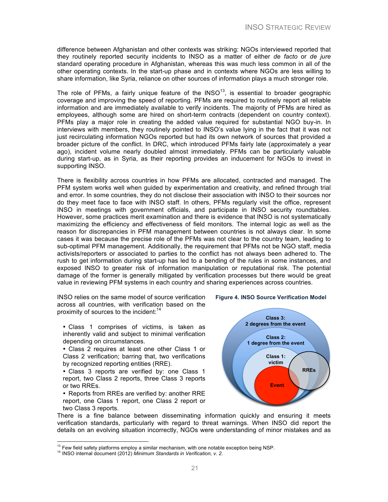difference between Afghanistan and other contexts was striking: NGOs interviewed reported that they routinely reported security incidents to INSO as a matter of either *de facto* or *de jure*  standard operating procedure in Afghanistan, whereas this was much less common in all of the other operating contexts. In the start-up phase and in contexts where NGOs are less willing to share information, like Syria, reliance on other sources of information plays a much stronger role.

The role of PFMs, a fairly unique feature of the  $\text{INSO}^{13}$ , is essential to broader geographic coverage and improving the speed of reporting. PFMs are required to routinely report all reliable information and are immediately available to verify incidents. The majority of PFMs are hired as employees, although some are hired on short-term contracts (dependent on country context). PFMs play a major role in creating the added value required for substantial NGO buy-in. In interviews with members, they routinely pointed to INSO's value lying in the fact that it was not just recirculating information NGOs reported but had its own network of sources that provided a broader picture of the conflict. In DRC, which introduced PFMs fairly late (approximately a year ago), incident volume nearly doubled almost immediately. PFMs can be particularly valuable during start-up, as in Syria, as their reporting provides an inducement for NGOs to invest in supporting INSO.

There is flexibility across countries in how PFMs are allocated, contracted and managed. The PFM system works well when guided by experimentation and creativity, and refined through trial and error. In some countries, they do not disclose their association with INSO to their sources nor do they meet face to face with INSO staff. In others, PFMs regularly visit the office, represent INSO in meetings with government officials, and participate in INSO security roundtables. However, some practices merit examination and there is evidence that INSO is not systematically maximizing the efficiency and effectiveness of field monitors. The internal logic as well as the reason for discrepancies in PFM management between countries is not always clear. In some cases it was because the precise role of the PFMs was not clear to the country team, leading to sub-optimal PFM management. Additionally, the requirement that PFMs not be NGO staff, media activists/reporters or associated to parties to the conflict has not always been adhered to. The rush to get information during start-up has led to a bending of the rules in some instances, and exposed INSO to greater risk of information manipulation or reputational risk. The potential damage of the former is generally mitigated by verification processes but there would be great value in reviewing PFM systems in each country and sharing experiences across countries.

INSO relies on the same model of source verification across all countries, with verification based on the proximity of sources to the incident:<sup>14</sup>

• Class 1 comprises of victims, is taken as inherently valid and subject to minimal verification depending on circumstances.

• Class 2 requires at least one other Class 1 or Class 2 verification; barring that, two verifications by recognized reporting entities (RRE).

• Class 3 reports are verified by: one Class 1 report, two Class 2 reports, three Class 3 reports or two RREs.

• Reports from RREs are verified by: another RRE report, one Class 1 report, one Class 2 report or two Class 3 reports.



**Figure 4. INSO Source Verification Model**

There is a fine balance between disseminating information quickly and ensuring it meets verification standards, particularly with regard to threat warnings. When INSO did report the details on an evolving situation incorrectly, NGOs were understanding of minor mistakes and as

<sup>&</sup>lt;sup>13</sup> Few field safety platforms employ a similar mechanism, with one notable exception being NSP.<br><sup>14</sup> INSO internal document (2012) *Minimum Standards in Verification, v. 2.*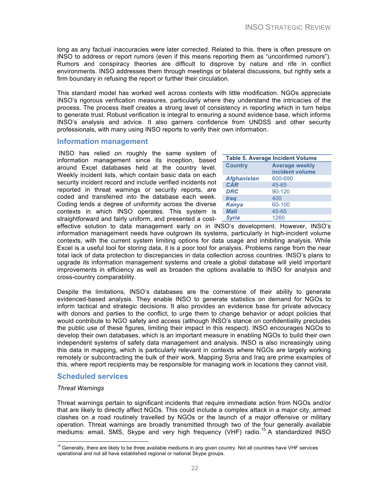long as any factual inaccuracies were later corrected. Related to this, there is often pressure on INSO to address or report rumors (even if this means reporting them as "unconfirmed rumors"). Rumors and conspiracy theories are difficult to disprove by nature and rife in conflict environments. INSO addresses them through meetings or bilateral discussions, but rightly sets a firm boundary in refusing the report or further their circulation.

This standard model has worked well across contexts with little modification. NGOs appreciate INSO's rigorous verification measures, particularly where they understand the intricacies of the process. The process itself creates a strong level of consistency in reporting which in turn helps to generate trust. Robust verification is integral to ensuring a sound evidence base, which informs INSO's analysis and advice. It also garners confidence from UNDSS and other security professionals, with many using INSO reports to verify their own information.

#### **Information management**

INSO has relied on roughly the same system of information management since its inception, based around Excel databases held at the country level. Weekly incident lists, which contain basic data on each security incident record and include verified incidents not reported in threat warnings or security reports, are coded and transferred into the database each week. Coding lends a degree of uniformity across the diverse contexts in which INSO operates. This system is straightforward and fairly uniform, and presented a cost-

| <b>Table 5. Average Incident Volume</b> |                       |  |
|-----------------------------------------|-----------------------|--|
| <b>Country</b>                          | <b>Average weekly</b> |  |
|                                         | incident volume       |  |
| <b>Afghanistan</b>                      | 600-690               |  |
| <b>CAR</b>                              | 45-65                 |  |
| <b>DRC</b>                              | 90-120                |  |
| <b>Iraq</b>                             | 400                   |  |
| Kenya                                   | 60-100                |  |
| <b>Mali</b>                             | 45-65                 |  |
| <b>Svria</b>                            | 1260                  |  |

effective solution to data management early on in INSO's development. However, INSO's information management needs have outgrown its systems, particularly in high-incident volume contexts, with the current system limiting options for data usage and inhibiting analysis. While Excel is a useful tool for storing data, it is a poor tool for analysis. Problems range from the near total lack of data protection to discrepancies in data collection across countries. INSO's plans to upgrade its information management systems and create a global database will yield important improvements in efficiency as well as broaden the options available to INSO for analysis and cross-country comparability.

Despite the limitations, INSO's databases are the cornerstone of their ability to generate evidenced-based analysis. They enable INSO to generate statistics on demand for NGOs to inform tactical and strategic decisions. It also provides an evidence base for private advocacy with donors and parties to the conflict, to urge them to change behavior or adopt policies that would contribute to NGO safety and access (although INSO's stance on confidentiality precludes the public use of these figures, limiting their impact in this respect). INSO encourages NGOs to develop their own databases, which is an important measure in enabling NGOs to build their own independent systems of safety data management and analysis. INSO is also increasingly using this data in mapping, which is particularly relevant in contexts where NGOs are largely working remotely or subcontracting the bulk of their work. Mapping Syria and Iraq are prime examples of this, where report recipients may be responsible for managing work in locations they cannot visit.

#### **Scheduled services**

#### *Threat Warnings*

Threat warnings pertain to significant incidents that require immediate action from NGOs and/or that are likely to directly affect NGOs. This could include a complex attack in a major city, armed clashes on a road routinely travelled by NGOs or the launch of a major offensive or military operation. Threat warnings are broadly transmitted through two of the four generally available mediums: email, SMS, Skype and very high frequency (VHF) radio.<sup>15</sup> A standardized INSO

 $15$  Generally, there are likely to be three available mediums in any given country. Not all countries have VHF services operational and not all have established regional or national Skype groups.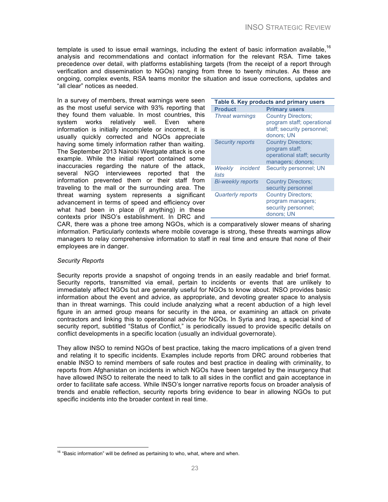template is used to issue email warnings, including the extent of basic information available,  $16$ analysis and recommendations and contact information for the relevant RSA. Time takes precedence over detail, with platforms establishing targets (from the receipt of a report through verification and dissemination to NGOs) ranging from three to twenty minutes. As these are ongoing, complex events, RSA teams monitor the situation and issue corrections, updates and "all clear" notices as needed.

In a survey of members, threat warnings were seen as the most useful service with 93% reporting that they found them valuable. In most countries, this system works relatively well. Even where information is initially incomplete or incorrect, it is usually quickly corrected and NGOs appreciate having some timely information rather than waiting. The September 2013 Nairobi Westgate attack is one example. While the initial report contained some inaccuracies regarding the nature of the attack, several NGO interviewees reported that the information prevented them or their staff from traveling to the mall or the surrounding area. The threat warning system represents a significant advancement in terms of speed and efficiency over what had been in place (if anything) in these contexts prior INSO's establishment. In DRC and

| Table 6. Key products and primary users |                                                                                                     |  |
|-----------------------------------------|-----------------------------------------------------------------------------------------------------|--|
| <b>Product</b>                          | <b>Primary users</b>                                                                                |  |
| <b>Threat warnings</b>                  | <b>Country Directors;</b><br>program staff; operational<br>staff; security personnel;<br>donors: UN |  |
| <b>Security reports</b>                 | <b>Country Directors;</b><br>program staff;<br>operational staff; security<br>managers; donors;     |  |
| incident<br>Weekly<br>lists             | Security personnel; UN                                                                              |  |
| <b>Bi-weekly reports</b>                | <b>Country Directors;</b><br>security personnel                                                     |  |
| <b>Quarterly reports</b>                | <b>Country Directors;</b><br>program managers;<br>security personnel;<br>donors; UN                 |  |

CAR, there was a phone tree among NGOs, which is a comparatively slower means of sharing information. Particularly contexts where mobile coverage is strong, these threats warnings allow managers to relay comprehensive information to staff in real time and ensure that none of their employees are in danger.

#### *Security Reports*

Security reports provide a snapshot of ongoing trends in an easily readable and brief format. Security reports, transmitted via email, pertain to incidents or events that are unlikely to immediately affect NGOs but are generally useful for NGOs to know about. INSO provides basic information about the event and advice, as appropriate, and devoting greater space to analysis than in threat warnings. This could include analyzing what a recent abduction of a high level figure in an armed group means for security in the area, or examining an attack on private contractors and linking this to operational advice for NGOs. In Syria and Iraq, a special kind of security report, subtitled "Status of Conflict," is periodically issued to provide specific details on conflict developments in a specific location (usually an individual governorate).

They allow INSO to remind NGOs of best practice, taking the macro implications of a given trend and relating it to specific incidents. Examples include reports from DRC around robberies that enable INSO to remind members of safe routes and best practice in dealing with criminality, to reports from Afghanistan on incidents in which NGOs have been targeted by the insurgency that have allowed INSO to reiterate the need to talk to all sides in the conflict and gain acceptance in order to facilitate safe access. While INSO's longer narrative reports focus on broader analysis of trends and enable reflection, security reports bring evidence to bear in allowing NGOs to put specific incidents into the broader context in real time.

 

 $16$  "Basic information" will be defined as pertaining to who, what, where and when.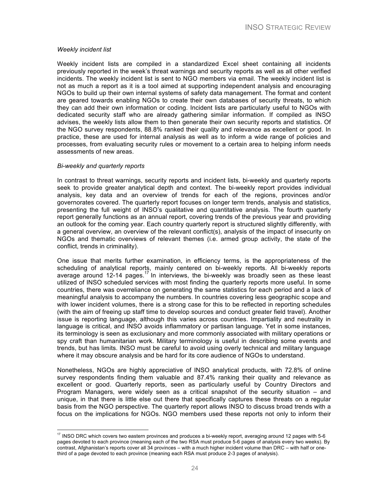#### *Weekly incident list*

Weekly incident lists are compiled in a standardized Excel sheet containing all incidents previously reported in the week's threat warnings and security reports as well as all other verified incidents. The weekly incident list is sent to NGO members via email. The weekly incident list is not as much a report as it is a tool aimed at supporting independent analysis and encouraging NGOs to build up their own internal systems of safety data management. The format and content are geared towards enabling NGOs to create their own databases of security threats, to which they can add their own information or coding. Incident lists are particularly useful to NGOs with dedicated security staff who are already gathering similar information. If compiled as INSO advises, the weekly lists allow them to then generate their own security reports and statistics. Of the NGO survey respondents, 88.8% ranked their quality and relevance as excellent or good. In practice, these are used for internal analysis as well as to inform a wide range of policies and processes, from evaluating security rules or movement to a certain area to helping inform needs assessments of new areas.

#### *Bi-weekly and quarterly reports*

 

In contrast to threat warnings, security reports and incident lists, bi-weekly and quarterly reports seek to provide greater analytical depth and context. The bi-weekly report provides individual analysis, key data and an overview of trends for each of the regions, provinces and/or governorates covered. The quarterly report focuses on longer term trends, analysis and statistics, presenting the full weight of INSO's qualitative and quantitative analysis. The fourth quarterly report generally functions as an annual report, covering trends of the previous year and providing an outlook for the coming year. Each country quarterly report is structured slightly differently, with a general overview, an overview of the relevant conflict(s), analysis of the impact of insecurity on NGOs and thematic overviews of relevant themes (i.e. armed group activity, the state of the conflict, trends in criminality).

One issue that merits further examination, in efficiency terms, is the appropriateness of the scheduling of analytical reports, mainly centered on bi-weekly reports. All bi-weekly reports average around 12-14 pages.<sup>17</sup> In interviews, the bi-weekly was broadly seen as these least utilized of INSO scheduled services with most finding the quarterly reports more useful. In some countries, there was overreliance on generating the same statistics for each period and a lack of meaningful analysis to accompany the numbers. In countries covering less geographic scope and with lower incident volumes, there is a strong case for this to be reflected in reporting schedules (with the aim of freeing up staff time to develop sources and conduct greater field travel). Another issue is reporting language, although this varies across countries. Impartiality and neutrality in language is critical, and INSO avoids inflammatory or partisan language. Yet in some instances, its terminology is seen as exclusionary and more commonly associated with military operations or spy craft than humanitarian work. Military terminology is useful in describing some events and trends, but has limits. INSO must be careful to avoid using overly technical and military language where it may obscure analysis and be hard for its core audience of NGOs to understand.

Nonetheless, NGOs are highly appreciative of INSO analytical products, with 72.8% of online survey respondents finding them valuable and 87.4% ranking their quality and relevance as excellent or good. Quarterly reports, seen as particularly useful by Country Directors and Program Managers, were widely seen as a critical snapshot of the security situation – and unique, in that there is little else out there that specifically captures these threats on a regular basis from the NGO perspective. The quarterly report allows INSO to discuss broad trends with a focus on the implications for NGOs. NGO members used these reports not only to inform their

 $17$  INSO DRC which covers two eastern provinces and produces a bi-weekly report, averaging around 12 pages with 5-6 pages devoted to each province (meaning each of the two RSA must produce 5-6 pages of analysis every two weeks). By contrast, Afghanistan's reports cover all 34 provinces – with a much higher incident volume than DRC – with half or onethird of a page devoted to each province (meaning each RSA must produce 2-3 pages of analysis).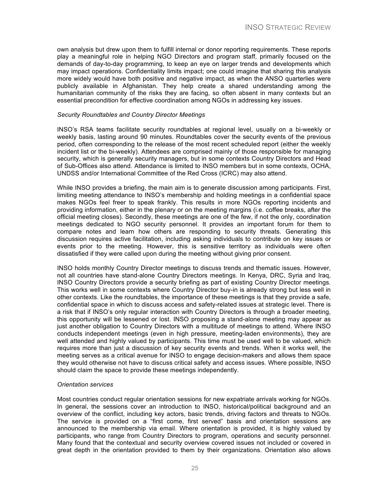own analysis but drew upon them to fulfill internal or donor reporting requirements. These reports play a meaningful role in helping NGO Directors and program staff, primarily focused on the demands of day-to-day programming, to keep an eye on larger trends and developments which may impact operations. Confidentiality limits impact; one could imagine that sharing this analysis more widely would have both positive and negative impact, as when the ANSO quarterlies were publicly available in Afghanistan. They help create a shared understanding among the humanitarian community of the risks they are facing, so often absent in many contexts but an essential precondition for effective coordination among NGOs in addressing key issues.

#### *Security Roundtables and Country Director Meetings*

INSO's RSA teams facilitate security roundtables at regional level, usually on a bi-weekly or weekly basis, lasting around 90 minutes. Roundtables cover the security events of the previous period, often corresponding to the release of the most recent scheduled report (either the weekly incident list or the bi-weekly). Attendees are comprised mainly of those responsible for managing security, which is generally security managers, but in some contexts Country Directors and Head of Sub-Offices also attend. Attendance is limited to INSO members but in some contexts, OCHA, UNDSS and/or International Committee of the Red Cross (ICRC) may also attend.

While INSO provides a briefing, the main aim is to generate discussion among participants. First, limiting meeting attendance to INSO's membership and holding meetings in a confidential space makes NGOs feel freer to speak frankly. This results in more NGOs reporting incidents and providing information, either in the plenary or on the meeting margins (i.e. coffee breaks, after the official meeting closes). Secondly, these meetings are one of the few, if not the only, coordination meetings dedicated to NGO security personnel. It provides an important forum for them to compare notes and learn how others are responding to security threats. Generating this discussion requires active facilitation, including asking individuals to contribute on key issues or events prior to the meeting. However, this is sensitive territory as individuals were often dissatisfied if they were called upon during the meeting without giving prior consent.

INSO holds monthly Country Director meetings to discuss trends and thematic issues. However, not all countries have stand-alone Country Directors meetings. In Kenya, DRC, Syria and Iraq, INSO Country Directors provide a security briefing as part of existing Country Director meetings. This works well in some contexts where Country Director buy-in is already strong but less well in other contexts. Like the roundtables, the importance of these meetings is that they provide a safe, confidential space in which to discuss access and safety-related issues at strategic level. There is a risk that if INSO's only regular interaction with Country Directors is through a broader meeting, this opportunity will be lessened or lost. INSO proposing a stand-alone meeting may appear as just another obligation to Country Directors with a multitude of meetings to attend. Where INSO conducts independent meetings (even in high pressure, meeting-laden environments), they are well attended and highly valued by participants. This time must be used well to be valued, which requires more than just a discussion of key security events and trends. When it works well, the meeting serves as a critical avenue for INSO to engage decision-makers and allows them space they would otherwise not have to discuss critical safety and access issues. Where possible, INSO should claim the space to provide these meetings independently.

#### *Orientation services*

Most countries conduct regular orientation sessions for new expatriate arrivals working for NGOs. In general, the sessions cover an introduction to INSO, historical/political background and an overview of the conflict, including key actors, basic trends, driving factors and threats to NGOs. The service is provided on a "first come, first served" basis and orientation sessions are announced to the membership via email. Where orientation is provided, it is highly valued by participants, who range from Country Directors to program, operations and security personnel. Many found that the contextual and security overview covered issues not included or covered in great depth in the orientation provided to them by their organizations. Orientation also allows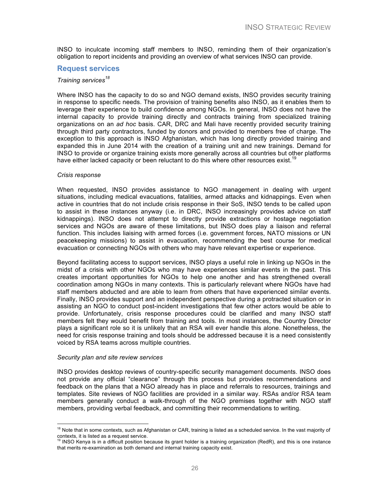INSO to inculcate incoming staff members to INSO, reminding them of their organization's obligation to report incidents and providing an overview of what services INSO can provide.

#### **Request services**

#### *Training services<sup>18</sup>*

Where INSO has the capacity to do so and NGO demand exists, INSO provides security training in response to specific needs. The provision of training benefits also INSO, as it enables them to leverage their experience to build confidence among NGOs. In general, INSO does not have the internal capacity to provide training directly and contracts training from specialized training organizations on an *ad hoc* basis. CAR, DRC and Mali have recently provided security training through third party contractors, funded by donors and provided to members free of charge. The exception to this approach is INSO Afghanistan, which has long directly provided training and expanded this in June 2014 with the creation of a training unit and new trainings. Demand for INSO to provide or organize training exists more generally across all countries but other platforms have either lacked capacity or been reluctant to do this where other resources exist.<sup>19</sup>

#### *Crisis response*

When requested, INSO provides assistance to NGO management in dealing with urgent situations, including medical evacuations, fatalities, armed attacks and kidnappings. Even when active in countries that do not include crisis response in their SoS, INSO tends to be called upon to assist in these instances anyway (i.e. in DRC, INSO increasingly provides advice on staff kidnappings). INSO does not attempt to directly provide extractions or hostage negotiation services and NGOs are aware of these limitations, but INSO does play a liaison and referral function. This includes liaising with armed forces (i.e. government forces, NATO missions or UN peacekeeping missions) to assist in evacuation, recommending the best course for medical evacuation or connecting NGOs with others who may have relevant expertise or experience.

Beyond facilitating access to support services, INSO plays a useful role in linking up NGOs in the midst of a crisis with other NGOs who may have experiences similar events in the past. This creates important opportunities for NGOs to help one another and has strengthened overall coordination among NGOs in many contexts. This is particularly relevant where NGOs have had staff members abducted and are able to learn from others that have experienced similar events. Finally, INSO provides support and an independent perspective during a protracted situation or in assisting an NGO to conduct post-incident investigations that few other actors would be able to provide. Unfortunately, crisis response procedures could be clarified and many INSO staff members felt they would benefit from training and tools. In most instances, the Country Director plays a significant role so it is unlikely that an RSA will ever handle this alone. Nonetheless, the need for crisis response training and tools should be addressed because it is a need consistently voiced by RSA teams across multiple countries.

#### *Security plan and site review services*

INSO provides desktop reviews of country-specific security management documents. INSO does not provide any official "clearance" through this process but provides recommendations and feedback on the plans that a NGO already has in place and referrals to resources, trainings and templates. Site reviews of NGO facilities are provided in a similar way. RSAs and/or RSA team members generally conduct a walk-through of the NGO premises together with NGO staff members, providing verbal feedback, and committing their recommendations to writing.

<sup>&</sup>lt;sup>18</sup> Note that in some contexts, such as Afghanistan or CAR, training is listed as a scheduled service. In the vast majority of

contexts, it is listed as a request service.<br><sup>19</sup> INSO Kenya is in a difficult position because its grant holder is a training organization (RedR), and this is one instance that merits re-examination as both demand and internal training capacity exist.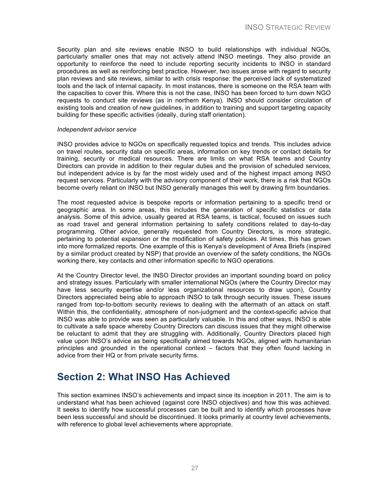Security plan and site reviews enable INSO to build relationships with individual NGOs, particularly smaller ones that may not actively attend INSO meetings. They also provide an opportunity to reinforce the need to include reporting security incidents to INSO in standard procedures as well as reinforcing best practice. However, two issues arose with regard to security plan reviews and site reviews, similar to with crisis response: the perceived lack of systematized tools and the lack of internal capacity. In most instances, there is someone on the RSA team with the capacities to cover this. Where this is not the case, INSO has been forced to turn down NGO requests to conduct site reviews (as in northern Kenya). INSO should consider circulation of existing tools and creation of new guidelines, in addition to training and support targeting capacity building for these specific activities (ideally, during staff orientation).

#### *Independent advisor service*

INSO provides advice to NGOs on specifically requested topics and trends. This includes advice on travel routes, security data on specific areas, information on key trends or contact details for training, security or medical resources. There are limits on what RSA teams and Country Directors can provide in addition to their regular duties and the provision of scheduled services, but independent advice is by far the most widely used and of the highest impact among INSO request services. Particularly with the advisory component of their work, there is a risk that NGOs become overly reliant on INSO but INSO generally manages this well by drawing firm boundaries.

The most requested advice is bespoke reports or information pertaining to a specific trend or geographic area. In some areas, this includes the generation of specific statistics or data analysis. Some of this advice, usually geared at RSA teams, is tactical, focused on issues such as road travel and general information pertaining to safety conditions related to day-to-day programming. Other advice, generally requested from Country Directors, is more strategic, pertaining to potential expansion or the modification of safety policies. At times, this has grown into more formalized reports. One example of this is Kenya's development of Area Briefs (inspired by a similar product created by NSP) that provide an overview of the safety conditions, the NGOs working there, key contacts and other information specific to NGO operations.

At the Country Director level, the INSO Director provides an important sounding board on policy and strategy issues. Particularly with smaller international NGOs (where the Country Director may have less security expertise and/or less organizational resources to draw upon), Country Directors appreciated being able to approach INSO to talk through security issues. These issues ranged from top-to-bottom security reviews to dealing with the aftermath of an attack on staff. Within this, the confidentiality, atmosphere of non-judgment and the context-specific advice that INSO was able to provide was seen as particularly valuable. In this and other ways, INSO is able to cultivate a safe space whereby Country Directors can discuss issues that they might otherwise be reluctant to admit that they are struggling with. Additionally, Country Directors placed high value upon INSO's advice as being specifically aimed towards NGOs, aligned with humanitarian principles and grounded in the operational context – factors that they often found lacking in advice from their HQ or from private security firms.

### **Section 2: What INSO Has Achieved**

This section examines INSO's achievements and impact since its inception in 2011. The aim is to understand what has been achieved (against core INSO objectives) and how this was achieved. It seeks to identify how successful processes can be built and to identify which processes have been less successful and should be discontinued. It looks primarily at country level achievements, with reference to global level achievements where appropriate.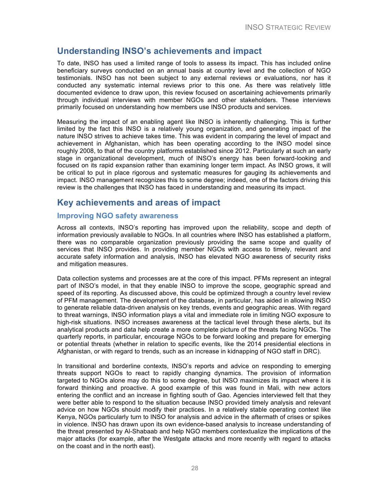### **Understanding INSO's achievements and impact**

To date, INSO has used a limited range of tools to assess its impact. This has included online beneficiary surveys conducted on an annual basis at country level and the collection of NGO testimonials. INSO has not been subject to any external reviews or evaluations, nor has it conducted any systematic internal reviews prior to this one. As there was relatively little documented evidence to draw upon, this review focused on ascertaining achievements primarily through individual interviews with member NGOs and other stakeholders. These interviews primarily focused on understanding how members use INSO products and services.

Measuring the impact of an enabling agent like INSO is inherently challenging. This is further limited by the fact this INSO is a relatively young organization, and generating impact of the nature INSO strives to achieve takes time. This was evident in comparing the level of impact and achievement in Afghanistan, which has been operating according to the INSO model since roughly 2008, to that of the country platforms established since 2012. Particularly at such an early stage in organizational development, much of INSO's energy has been forward-looking and focused on its rapid expansion rather than examining longer term impact. As INSO grows, it will be critical to put in place rigorous and systematic measures for gauging its achievements and impact. INSO management recognizes this to some degree; indeed, one of the factors driving this review is the challenges that INSO has faced in understanding and measuring its impact.

### **Key achievements and areas of impact**

#### **Improving NGO safety awareness**

Across all contexts, INSO's reporting has improved upon the reliability, scope and depth of information previously available to NGOs. In all countries where INSO has established a platform, there was no comparable organization previously providing the same scope and quality of services that INSO provides. In providing member NGOs with access to timely, relevant and accurate safety information and analysis, INSO has elevated NGO awareness of security risks and mitigation measures.

Data collection systems and processes are at the core of this impact. PFMs represent an integral part of INSO's model, in that they enable INSO to improve the scope, geographic spread and speed of its reporting. As discussed above, this could be optimized through a country level review of PFM management. The development of the database, in particular, has aided in allowing INSO to generate reliable data-driven analysis on key trends, events and geographic areas. With regard to threat warnings, INSO information plays a vital and immediate role in limiting NGO exposure to high-risk situations. INSO increases awareness at the tactical level through these alerts, but its analytical products and data help create a more complete picture of the threats facing NGOs. The quarterly reports, in particular, encourage NGOs to be forward looking and prepare for emerging or potential threats (whether in relation to specific events, like the 2014 presidential elections in Afghanistan, or with regard to trends, such as an increase in kidnapping of NGO staff in DRC).

In transitional and borderline contexts, INSO's reports and advice on responding to emerging threats support NGOs to react to rapidly changing dynamics. The provision of information targeted to NGOs alone may do this to some degree, but INSO maximizes its impact where it is forward thinking and proactive. A good example of this was found in Mali, with new actors entering the conflict and an increase in fighting south of Gao. Agencies interviewed felt that they were better able to respond to the situation because INSO provided timely analysis and relevant advice on how NGOs should modify their practices. In a relatively stable operating context like Kenya, NGOs particularly turn to INSO for analysis and advice in the aftermath of crises or spikes in violence. INSO has drawn upon its own evidence-based analysis to increase understanding of the threat presented by Al-Shabaab and help NGO members contextualize the implications of the major attacks (for example, after the Westgate attacks and more recently with regard to attacks on the coast and in the north east).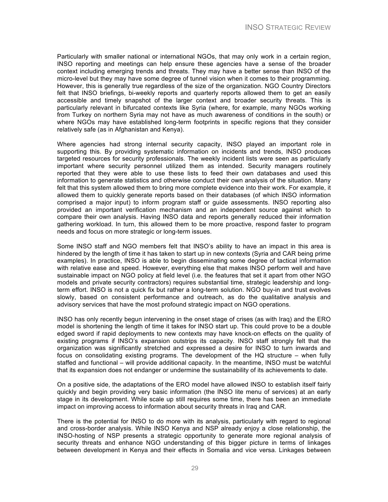Particularly with smaller national or international NGOs, that may only work in a certain region, INSO reporting and meetings can help ensure these agencies have a sense of the broader context including emerging trends and threats. They may have a better sense than INSO of the micro-level but they may have some degree of tunnel vision when it comes to their programming. However, this is generally true regardless of the size of the organization. NGO Country Directors felt that INSO briefings, bi-weekly reports and quarterly reports allowed them to get an easily accessible and timely snapshot of the larger context and broader security threats. This is particularly relevant in bifurcated contexts like Syria (where, for example, many NGOs working from Turkey on northern Syria may not have as much awareness of conditions in the south) or where NGOs may have established long-term footprints in specific regions that they consider relatively safe (as in Afghanistan and Kenya).

Where agencies had strong internal security capacity, INSO played an important role in supporting this. By providing systematic information on incidents and trends, INSO produces targeted resources for security professionals. The weekly incident lists were seen as particularly important where security personnel utilized them as intended. Security managers routinely reported that they were able to use these lists to feed their own databases and used this information to generate statistics and otherwise conduct their own analysis of the situation. Many felt that this system allowed them to bring more complete evidence into their work. For example, it allowed them to quickly generate reports based on their databases (of which INSO information comprised a major input) to inform program staff or guide assessments. INSO reporting also provided an important verification mechanism and an independent source against which to compare their own analysis. Having INSO data and reports generally reduced their information gathering workload. In turn, this allowed them to be more proactive, respond faster to program needs and focus on more strategic or long-term issues.

Some INSO staff and NGO members felt that INSO's ability to have an impact in this area is hindered by the length of time it has taken to start up in new contexts (Syria and CAR being prime examples). In practice, INSO is able to begin disseminating some degree of tactical information with relative ease and speed. However, everything else that makes INSO perform well and have sustainable impact on NGO policy at field level (i.e. the features that set it apart from other NGO models and private security contractors) requires substantial time, strategic leadership and longterm effort. INSO is not a quick fix but rather a long-term solution. NGO buy-in and trust evolves slowly, based on consistent performance and outreach, as do the qualitative analysis and advisory services that have the most profound strategic impact on NGO operations.

INSO has only recently begun intervening in the onset stage of crises (as with Iraq) and the ERO model is shortening the length of time it takes for INSO start up. This could prove to be a double edged sword if rapid deployments to new contexts may have knock-on effects on the quality of existing programs if INSO's expansion outstrips its capacity. INSO staff strongly felt that the organization was significantly stretched and expressed a desire for INSO to turn inwards and focus on consolidating existing programs. The development of the HQ structure – when fully staffed and functional – will provide additional capacity. In the meantime, INSO must be watchful that its expansion does not endanger or undermine the sustainability of its achievements to date.

On a positive side, the adaptations of the ERO model have allowed INSO to establish itself fairly quickly and begin providing very basic information (the INSO lite menu of services) at an early stage in its development. While scale up still requires some time, there has been an immediate impact on improving access to information about security threats in Iraq and CAR.

There is the potential for INSO to do more with its analysis, particularly with regard to regional and cross-border analysis. While INSO Kenya and NSP already enjoy a close relationship, the INSO-hosting of NSP presents a strategic opportunity to generate more regional analysis of security threats and enhance NGO understanding of this bigger picture in terms of linkages between development in Kenya and their effects in Somalia and vice versa. Linkages between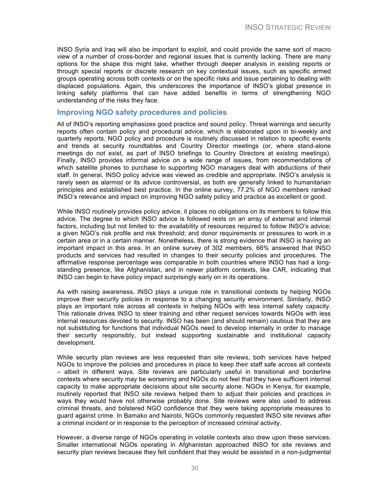INSO Syria and Iraq will also be important to exploit, and could provide the same sort of macro view of a number of cross-border and regional issues that is currently lacking. There are many options for the shape this might take, whether through deeper analysis in existing reports or through special reports or discrete research on key contextual issues, such as specific armed groups operating across both contexts or on the specific risks and issue pertaining to dealing with displaced populations. Again, this underscores the importance of INSO's global presence in linking safety platforms that can have added benefits in terms of strengthening NGO understanding of the risks they face.

#### **Improving NGO safety procedures and policies**

All of INSO's reporting emphasizes good practice and sound policy. Threat warnings and security reports often contain policy and procedural advice, which is elaborated upon in bi-weekly and quarterly reports. NGO policy and procedure is routinely discussed in relation to specific events and trends at security roundtables and Country Director meetings (or, where stand-alone meetings do not exist, as part of INSO briefings to Country Directors at existing meetings). Finally, INSO provides informal advice on a wide range of issues, from recommendations of which satellite phones to purchase to supporting NGO managers deal with abductions of their staff. In general, INSO policy advice was viewed as credible and appropriate. INSO's analysis is rarely seen as alarmist or its advice controversial, as both are generally linked to humanitarian principles and established best practice. In the online survey, 77.2% of NGO members ranked INSO's relevance and impact on improving NGO safety policy and practice as excellent or good.

While INSO routinely provides policy advice, it places no obligations on its members to follow this advice. The degree to which INSO advice is followed rests on an array of external and internal factors, including but not limited to: the availability of resources required to follow INSO's advice; a given NGO's risk profile and risk threshold; and donor requirements or pressures to work in a certain area or in a certain manner. Nonetheless, there is strong evidence that INSO is having an important impact in this area. In an online survey of 302 members, 66% answered that INSO products and services had resulted in changes to their security policies and procedures. The affirmative response percentage was comparable in both countries where INSO has had a longstanding presence, like Afghanistan, and in newer platform contexts, like CAR, indicating that INSO can begin to have policy impact surprisingly early on in its operations.

As with raising awareness, INSO plays a unique role in transitional contexts by helping NGOs improve their security policies in response to a changing security environment. Similarly, INSO plays an important role across all contexts in helping NGOs with less internal safety capacity. This rationale drives INSO to steer training and other request services towards NGOs with less internal resources devoted to security. INSO has been (and should remain) cautious that they are not substituting for functions that individual NGOs need to develop internally in order to manage their security responsibly, but instead supporting sustainable and institutional capacity development.

While security plan reviews are less requested than site reviews, both services have helped NGOs to improve the policies and procedures in place to keep their staff safe across all contexts – albeit in different ways. Site reviews are particularly useful in transitional and borderline contexts where security may be worsening and NGOs do not feel that they have sufficient internal capacity to make appropriate decisions about site security alone. NGOs in Kenya, for example, routinely reported that INSO site reviews helped them to adjust their policies and practices in ways they would have not otherwise probably done. Site reviews were also used to address criminal threats, and bolstered NGO confidence that they were taking appropriate measures to guard against crime. In Bamako and Nairobi, NGOs commonly requested INSO site reviews after a criminal incident or in response to the perception of increased criminal activity.

However, a diverse range of NGOs operating in volatile contexts also drew upon these services. Smaller international NGOs operating in Afghanistan approached INSO for site reviews and security plan reviews because they felt confident that they would be assisted in a non-judgmental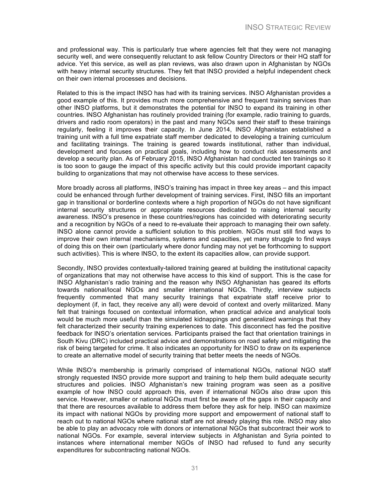and professional way. This is particularly true where agencies felt that they were not managing security well, and were consequently reluctant to ask fellow Country Directors or their HQ staff for advice. Yet this service, as well as plan reviews, was also drawn upon in Afghanistan by NGOs with heavy internal security structures. They felt that INSO provided a helpful independent check on their own internal processes and decisions.

Related to this is the impact INSO has had with its training services. INSO Afghanistan provides a good example of this. It provides much more comprehensive and frequent training services than other INSO platforms, but it demonstrates the potential for INSO to expand its training in other countries. INSO Afghanistan has routinely provided training (for example, radio training to guards, drivers and radio room operators) in the past and many NGOs send their staff to these trainings regularly, feeling it improves their capacity. In June 2014, INSO Afghanistan established a training unit with a full time expatriate staff member dedicated to developing a training curriculum and facilitating trainings. The training is geared towards institutional, rather than individual, development and focuses on practical goals, including how to conduct risk assessments and develop a security plan. As of February 2015, INSO Afghanistan had conducted ten trainings so it is too soon to gauge the impact of this specific activity but this could provide important capacity building to organizations that may not otherwise have access to these services.

More broadly across all platforms, INSO's training has impact in three key areas – and this impact could be enhanced through further development of training services. First, INSO fills an important gap in transitional or borderline contexts where a high proportion of NGOs do not have significant internal security structures or appropriate resources dedicated to raising internal security awareness. INSO's presence in these countries/regions has coincided with deteriorating security and a recognition by NGOs of a need to re-evaluate their approach to managing their own safety. INSO alone cannot provide a sufficient solution to this problem. NGOs must still find ways to improve their own internal mechanisms, systems and capacities, yet many struggle to find ways of doing this on their own (particularly where donor funding may not yet be forthcoming to support such activities). This is where INSO, to the extent its capacities allow, can provide support.

Secondly, INSO provides contextually-tailored training geared at building the institutional capacity of organizations that may not otherwise have access to this kind of support. This is the case for INSO Afghanistan's radio training and the reason why INSO Afghanistan has geared its efforts towards national/local NGOs and smaller international NGOs. Thirdly, interview subjects frequently commented that many security trainings that expatriate staff receive prior to deployment (if, in fact, they receive any all) were devoid of context and overly militarized. Many felt that trainings focused on contextual information, when practical advice and analytical tools would be much more useful than the simulated kidnappings and generalized warnings that they felt characterized their security training experiences to date. This disconnect has fed the positive feedback for INSO's orientation services. Participants praised the fact that orientation trainings in South Kivu (DRC) included practical advice and demonstrations on road safety and mitigating the risk of being targeted for crime. It also indicates an opportunity for INSO to draw on its experience to create an alternative model of security training that better meets the needs of NGOs.

While INSO's membership is primarily comprised of international NGOs, national NGO staff strongly requested INSO provide more support and training to help them build adequate security structures and policies. INSO Afghanistan's new training program was seen as a positive example of how INSO could approach this, even if international NGOs also draw upon this service. However, smaller or national NGOs must first be aware of the gaps in their capacity and that there are resources available to address them before they ask for help. INSO can maximize its impact with national NGOs by providing more support and empowerment of national staff to reach out to national NGOs where national staff are not already playing this role. INSO may also be able to play an advocacy role with donors or international NGOs that subcontract their work to national NGOs. For example, several interview subjects in Afghanistan and Syria pointed to instances where international member NGOs of INSO had refused to fund any security expenditures for subcontracting national NGOs.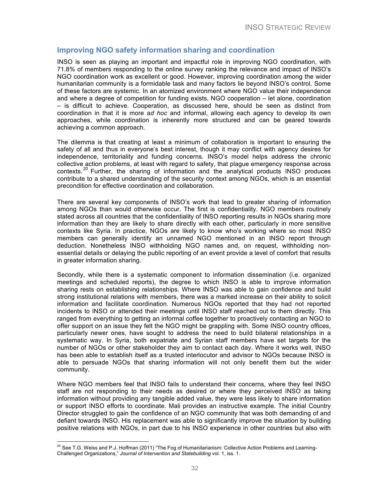#### **Improving NGO safety information sharing and coordination**

INSO is seen as playing an important and impactful role in improving NGO coordination, with 71.8% of members responding to the online survey ranking the relevance and impact of INSO's NGO coordination work as excellent or good. However, improving coordination among the wider humanitarian community is a formidable task and many factors lie beyond INSO's control. Some of these factors are systemic. In an atomized environment where NGO value their independence and where a degree of competition for funding exists, NGO cooperation – let alone, coordination – is difficult to achieve. Cooperation, as discussed here, should be seen as distinct from coordination in that it is more a*d hoc* and informal, allowing each agency to develop its own approaches, while coordination is inherently more structured and can be geared towards achieving a common approach.

The dilemma is that creating at least a minimum of collaboration is important to ensuring the safety of all and thus in everyone's best interest, though it may conflict with agency desires for independence, territoriality and funding concerns. INSO's model helps address the chronic collective action problems, at least with regard to safety, that plague emergency response across contexts.<sup>20</sup> Further, the sharing of information and the analytical products INSO produces contribute to a shared understanding of the security context among NGOs, which is an essential precondition for effective coordination and collaboration.

There are several key components of INSO's work that lead to greater sharing of information among NGOs than would otherwise occur. The first is confidentiality. NGO members routinely stated across all countries that the confidentiality of INSO reporting results in NGOs sharing more information than they are likely to share directly with each other, particularly in more sensitive contexts like Syria. In practice, NGOs are likely to know who's working where so most INSO members can generally identify an unnamed NGO mentioned in an INSO report through deduction. Nonetheless INSO withholding NGO names and, on request, withholding nonessential details or delaying the public reporting of an event provide a level of comfort that results in greater information sharing.

Secondly, while there is a systematic component to information dissemination (i.e. organized meetings and scheduled reports), the degree to which INSO is able to improve information sharing rests on establishing relationships. Where INSO was able to gain confidence and build strong institutional relations with members, there was a marked increase on their ability to solicit information and facilitate coordination. Numerous NGOs reported that they had not reported incidents to INSO or attended their meetings until INSO staff reached out to them directly. This ranged from everything to getting an informal coffee together to proactively contacting an NGO to offer support on an issue they felt the NGO might be grappling with. Some INSO country offices, particularly newer ones, have sought to address the need to build bilateral relationships in a systematic way. In Syria, both expatriate and Syrian staff members have set targets for the number of NGOs or other stakeholder they aim to contact each day. Where it works well, INSO has been able to establish itself as a trusted interlocutor and advisor to NGOs because INSO is able to persuade NGOs that sharing information will not only benefit them but the wider community.

Where NGO members feel that INSO fails to understand their concerns, where they feel INSO staff are not responding to their needs as desired or where they perceived INSO as taking information without providing any tangible added value, they were less likely to share information or support INSO efforts to coordinate. Mali provides an instructive example. The initial Country Director struggled to gain the confidence of an NGO community that was both demanding of and defiant towards INSO. His replacement was able to significantly improve the situation by building positive relations with NGOs, in part due to his INSO experience in other countries but also with

<sup>&</sup>lt;sup>20</sup> See T.G. Weiss and P.J. Hoffman (2011) "The Fog of Humanitarianism: Collective Action Problems and Learning-Challenged Organizations," *Journal of Intervention and Statebuilding* vol. 1, iss. 1.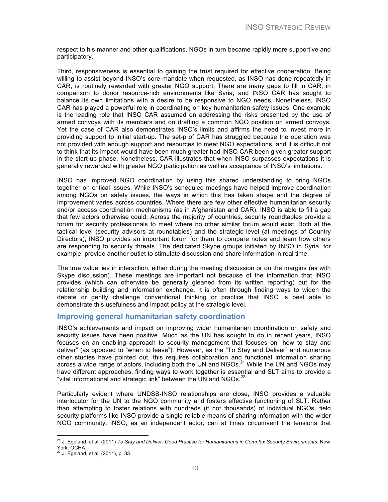respect to his manner and other qualifications. NGOs in turn became rapidly more supportive and participatory.

Third, responsiveness is essential to gaining the trust required for effective cooperation. Being willing to assist beyond INSO's core mandate when requested, as INSO has done repeatedly in CAR, is routinely rewarded with greater NGO support. There are many gaps to fill in CAR, in comparison to donor resource-rich environments like Syria, and INSO CAR has sought to balance its own limitations with a desire to be responsive to NGO needs. Nonetheless, INSO CAR has played a powerful role in coordinating on key humanitarian safety issues. One example is the leading role that INSO CAR assumed on addressing the risks presented by the use of armed convoys with its members and on drafting a common NGO position on armed convoys. Yet the case of CAR also demonstrates INSO's limits and affirms the need to invest more in providing support to initial start-up. The set-p of CAR has struggled because the operation was not provided with enough support and resources to meet NGO expectations, and it is difficult not to think that its impact would have been much greater had INSO CAR been given greater support in the start-up phase. Nonetheless, CAR illustrates that when INSO surpasses expectations it is generally rewarded with greater NGO participation as well as acceptance of INSO's limitations.

INSO has improved NGO coordination by using this shared understanding to bring NGOs together on critical issues. While INSO's scheduled meetings have helped improve coordination among NGOs on safety issues, the ways in which this has taken shape and the degree of improvement varies across countries. Where there are few other effective humanitarian security and/or access coordination mechanisms (as in Afghanistan and CAR), INSO is able to fill a gap that few actors otherwise could. Across the majority of countries, security roundtables provide a forum for security professionals to meet where no other similar forum would exist. Both at the tactical level (security advisors at roundtables) and the strategic level (at meetings of Country Directors), INSO provides an important forum for them to compare notes and learn how others are responding to security threats. The dedicated Skype groups initiated by INSO in Syria, for example, provide another outlet to stimulate discussion and share information in real time.

The true value lies in interaction, either during the meeting discussion or on the margins (as with Skype discussion). These meetings are important not because of the information that INSO provides (which can otherwise be generally gleaned from its written reporting) but for the relationship building and information exchange. It is often through finding ways to widen the debate or gently challenge conventional thinking or practice that INSO is best able to demonstrate this usefulness and impact policy at the strategic level.

#### **Improving general humanitarian safety coordination**

INSO's achievements and impact on improving wider humanitarian coordination on safety and security issues have been positive. Much as the UN has sought to do in recent years, INSO focuses on an enabling approach to security management that focuses on "how to stay and deliver" (as opposed to "when to leave"). However, as the "To Stay and Deliver" and numerous other studies have pointed out, this requires collaboration and functional information sharing across a wide range of actors, including both the UN and NGOs.<sup>21</sup> While the UN and NGOs may have different approaches, finding ways to work together is essential and SLT aims to provide a "vital informational and strategic link" between the UN and  $NGOs.<sup>22</sup>$ 

Particularly evident where UNDSS-INSO relationships are close, INSO provides a valuable interlocutor for the UN to the NGO community and fosters effective functioning of SLT. Rather than attempting to foster relations with hundreds (if not thousands) of individual NGOs, field security platforms like INSO provide a single reliable means of sharing information with the wider NGO community. INSO, as an independent actor, can at times circumvent the tensions that

 <sup>21</sup> J. Egeland, et al. (2011) *To Stay and Deliver: Good Practice for Humanitarians in Complex Security Environments.* New York: OCHA.

<sup>22</sup> J. Egeland, et al. (2011), p. 33.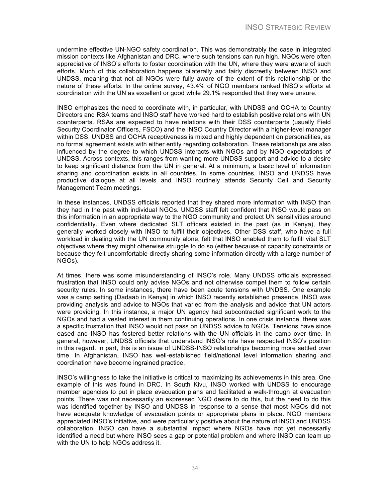undermine effective UN-NGO safety coordination. This was demonstrably the case in integrated mission contexts like Afghanistan and DRC, where such tensions can run high. NGOs were often appreciative of INSO's efforts to foster coordination with the UN, where they were aware of such efforts. Much of this collaboration happens bilaterally and fairly discreetly between INSO and UNDSS, meaning that not all NGOs were fully aware of the extent of this relationship or the nature of these efforts. In the online survey, 43.4% of NGO members ranked INSO's efforts at coordination with the UN as excellent or good while 29.1% responded that they were unsure.

INSO emphasizes the need to coordinate with, in particular, with UNDSS and OCHA to Country Directors and RSA teams and INSO staff have worked hard to establish positive relations with UN counterparts. RSAs are expected to have relations with their DSS counterparts (usually Field Security Coordinator Officers, FSCO) and the INSO Country Director with a higher-level manager within DSS. UNDSS and OCHA receptiveness is mixed and highly dependent on personalities, as no formal agreement exists with either entity regarding collaboration. These relationships are also influenced by the degree to which UNDSS interacts with NGOs and by NGO expectations of UNDSS. Across contexts, this ranges from wanting more UNDSS support and advice to a desire to keep significant distance from the UN in general. At a minimum, a basic level of information sharing and coordination exists in all countries. In some countries, INSO and UNDSS have productive dialogue at all levels and INSO routinely attends Security Cell and Security Management Team meetings.

In these instances, UNDSS officials reported that they shared more information with INSO than they had in the past with individual NGOs. UNDSS staff felt confident that INSO would pass on this information in an appropriate way to the NGO community and protect UN sensitivities around confidentiality. Even where dedicated SLT officers existed in the past (as in Kenya), they generally worked closely with INSO to fulfill their objectives. Other DSS staff, who have a full workload in dealing with the UN community alone, felt that INSO enabled them to fulfill vital SLT objectives where they might otherwise struggle to do so (either because of capacity constraints or because they felt uncomfortable directly sharing some information directly with a large number of NGOs).

At times, there was some misunderstanding of INSO's role. Many UNDSS officials expressed frustration that INSO could only advise NGOs and not otherwise compel them to follow certain security rules. In some instances, there have been acute tensions with UNDSS. One example was a camp setting (Dadaab in Kenya) in which INSO recently established presence. INSO was providing analysis and advice to NGOs that varied from the analysis and advice that UN actors were providing. In this instance, a major UN agency had subcontracted significant work to the NGOs and had a vested interest in them continuing operations. In one crisis instance, there was a specific frustration that INSO would not pass on UNDSS advice to NGOs. Tensions have since eased and INSO has fostered better relations with the UN officials in the camp over time. In general, however, UNDSS officials that understand INSO's role have respected INSO's position in this regard. In part, this is an issue of UNDSS-INSO relationships becoming more settled over time. In Afghanistan, INSO has well-established field/national level information sharing and coordination have become ingrained practice.

INSO's willingness to take the initiative is critical to maximizing its achievements in this area. One example of this was found in DRC. In South Kivu, INSO worked with UNDSS to encourage member agencies to put in place evacuation plans and facilitated a walk-through at evacuation points. There was not necessarily an expressed NGO desire to do this, but the need to do this was identified together by INSO and UNDSS in response to a sense that most NGOs did not have adequate knowledge of evacuation points or appropriate plans in place. NGO members appreciated INSO's initiative, and were particularly positive about the nature of INSO and UNDSS collaboration. INSO can have a substantial impact where NGOs have not yet necessarily identified a need but where INSO sees a gap or potential problem and where INSO can team up with the UN to help NGOs address it.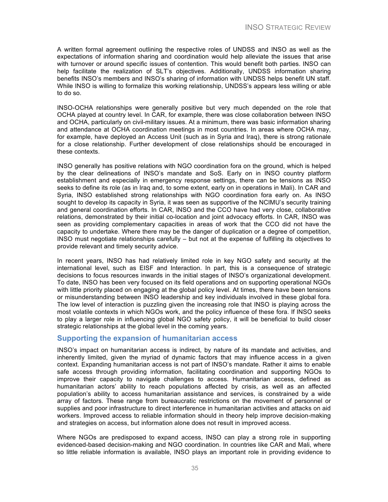A written formal agreement outlining the respective roles of UNDSS and INSO as well as the expectations of information sharing and coordination would help alleviate the issues that arise with turnover or around specific issues of contention. This would benefit both parties. INSO can help facilitate the realization of SLT's objectives. Additionally, UNDSS information sharing benefits INSO's members and INSO's sharing of information with UNDSS helps benefit UN staff. While INSO is willing to formalize this working relationship, UNDSS's appears less willing or able to do so.

INSO-OCHA relationships were generally positive but very much depended on the role that OCHA played at country level. In CAR, for example, there was close collaboration between INSO and OCHA, particularly on civil-military issues. At a minimum, there was basic information sharing and attendance at OCHA coordination meetings in most countries. In areas where OCHA may, for example, have deployed an Access Unit (such as in Syria and Iraq), there is strong rationale for a close relationship. Further development of close relationships should be encouraged in these contexts.

INSO generally has positive relations with NGO coordination fora on the ground, which is helped by the clear delineations of INSO's mandate and SoS. Early on in INSO country platform establishment and especially in emergency response settings, there can be tensions as INSO seeks to define its role (as in Iraq and, to some extent, early on in operations in Mali). In CAR and Syria, INSO established strong relationships with NGO coordination fora early on. As INSO sought to develop its capacity in Syria, it was seen as supportive of the NCIMU's security training and general coordination efforts. In CAR, INSO and the CCO have had very close, collaborative relations, demonstrated by their initial co-location and joint advocacy efforts. In CAR, INSO was seen as providing complementary capacities in areas of work that the CCO did not have the capacity to undertake. Where there may be the danger of duplication or a degree of competition, INSO must negotiate relationships carefully – but not at the expense of fulfilling its objectives to provide relevant and timely security advice.

In recent years, INSO has had relatively limited role in key NGO safety and security at the international level, such as EISF and Interaction. In part, this is a consequence of strategic decisions to focus resources inwards in the initial stages of INSO's organizational development. To date, INSO has been very focused on its field operations and on supporting operational NGOs with little priority placed on engaging at the global policy level. At times, there have been tensions or misunderstanding between INSO leadership and key individuals involved in these global fora. The low level of interaction is puzzling given the increasing role that INSO is playing across the most volatile contexts in which NGOs work, and the policy influence of these fora. If INSO seeks to play a larger role in influencing global NGO safety policy, it will be beneficial to build closer strategic relationships at the global level in the coming years.

#### **Supporting the expansion of humanitarian access**

INSO's impact on humanitarian access is indirect, by nature of its mandate and activities, and inherently limited, given the myriad of dynamic factors that may influence access in a given context. Expanding humanitarian access is not part of INSO's mandate. Rather it aims to enable safe access through providing information, facilitating coordination and supporting NGOs to improve their capacity to navigate challenges to access. Humanitarian access, defined as humanitarian actors' ability to reach populations affected by crisis, as well as an affected population's ability to access humanitarian assistance and services, is constrained by a wide array of factors. These range from bureaucratic restrictions on the movement of personnel or supplies and poor infrastructure to direct interference in humanitarian activities and attacks on aid workers. Improved access to reliable information should in theory help improve decision-making and strategies on access, but information alone does not result in improved access.

Where NGOs are predisposed to expand access, INSO can play a strong role in supporting evidenced-based decision-making and NGO coordination. In countries like CAR and Mali, where so little reliable information is available, INSO plays an important role in providing evidence to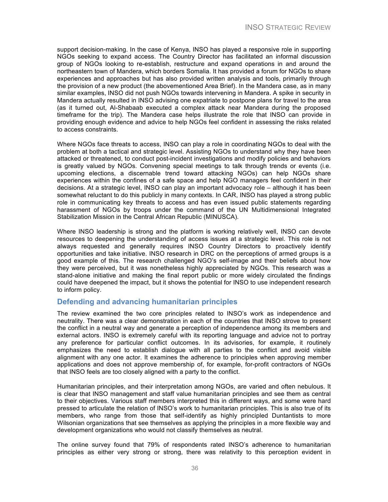support decision-making. In the case of Kenya, INSO has played a responsive role in supporting NGOs seeking to expand access. The Country Director has facilitated an informal discussion group of NGOs looking to re-establish, restructure and expand operations in and around the northeastern town of Mandera, which borders Somalia. It has provided a forum for NGOs to share experiences and approaches but has also provided written analysis and tools, primarily through the provision of a new product (the abovementioned Area Brief). In the Mandera case, as in many similar examples, INSO did not push NGOs towards intervening in Mandera. A spike in security in Mandera actually resulted in INSO advising one expatriate to postpone plans for travel to the area (as it turned out, Al-Shabaab executed a complex attack near Mandera during the proposed timeframe for the trip). The Mandera case helps illustrate the role that INSO can provide in providing enough evidence and advice to help NGOs feel confident in assessing the risks related to access constraints.

Where NGOs face threats to access, INSO can play a role in coordinating NGOs to deal with the problem at both a tactical and strategic level. Assisting NGOs to understand why they have been attacked or threatened, to conduct post-incident investigations and modify policies and behaviors is greatly valued by NGOs. Convening special meetings to talk through trends or events (i.e. upcoming elections, a discernable trend toward attacking NGOs) can help NGOs share experiences within the confines of a safe space and help NGO managers feel confident in their decisions. At a strategic level, INSO can play an important advocacy role – although it has been somewhat reluctant to do this publicly in many contexts. In CAR, INSO has played a strong public role in communicating key threats to access and has even issued public statements regarding harassment of NGOs by troops under the command of the UN Multidimensional Integrated Stabilization Mission in the Central African Republic (MINUSCA).

Where INSO leadership is strong and the platform is working relatively well, INSO can devote resources to deepening the understanding of access issues at a strategic level. This role is not always requested and generally requires INSO Country Directors to proactively identify opportunities and take initiative. INSO research in DRC on the perceptions of armed groups is a good example of this. The research challenged NGO's self-image and their beliefs about how they were perceived, but it was nonetheless highly appreciated by NGOs. This research was a stand-alone initiative and making the final report public or more widely circulated the findings could have deepened the impact, but it shows the potential for INSO to use independent research to inform policy.

#### **Defending and advancing humanitarian principles**

The review examined the two core principles related to INSO's work as independence and neutrality. There was a clear demonstration in each of the countries that INSO strove to present the conflict in a neutral way and generate a perception of independence among its members and external actors. INSO is extremely careful with its reporting language and advice not to portray any preference for particular conflict outcomes. In its advisories, for example, it routinely emphasizes the need to establish dialogue with all parties to the conflict and avoid visible alignment with any one actor. It examines the adherence to principles when approving member applications and does not approve membership of, for example, for-profit contractors of NGOs that INSO feels are too closely aligned with a party to the conflict.

Humanitarian principles, and their interpretation among NGOs, are varied and often nebulous. It is clear that INSO management and staff value humanitarian principles and see them as central to their objectives. Various staff members interpreted this in different ways, and some were hard pressed to articulate the relation of INSO's work to humanitarian principles. This is also true of its members, who range from those that self-identify as highly principled Duntantists to more Wilsonian organizations that see themselves as applying the principles in a more flexible way and development organizations who would not classify themselves as neutral.

The online survey found that 79% of respondents rated INSO's adherence to humanitarian principles as either very strong or strong, there was relativity to this perception evident in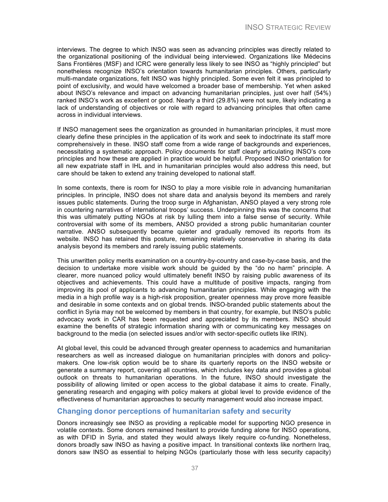interviews. The degree to which INSO was seen as advancing principles was directly related to the organizational positioning of the individual being interviewed. Organizations like Médecins Sans Frontières (MSF) and ICRC were generally less likely to see INSO as "highly principled" but nonetheless recognize INSO's orientation towards humanitarian principles. Others, particularly multi-mandate organizations, felt INSO was highly principled. Some even felt it was principled to point of exclusivity, and would have welcomed a broader base of membership. Yet when asked about INSO's relevance and impact on advancing humanitarian principles, just over half (54%) ranked INSO's work as excellent or good. Nearly a third (29.8%) were not sure, likely indicating a lack of understanding of objectives or role with regard to advancing principles that often came across in individual interviews.

If INSO management sees the organization as grounded in humanitarian principles, it must more clearly define these principles in the application of its work and seek to indoctrinate its staff more comprehensively in these. INSO staff come from a wide range of backgrounds and experiences, necessitating a systematic approach. Policy documents for staff clearly articulating INSO's core principles and how these are applied in practice would be helpful. Proposed INSO orientation for all new expatriate staff in IHL and in humanitarian principles would also address this need, but care should be taken to extend any training developed to national staff.

In some contexts, there is room for INSO to play a more visible role in advancing humanitarian principles. In principle, INSO does not share data and analysis beyond its members and rarely issues public statements. During the troop surge in Afghanistan, ANSO played a very strong role in countering narratives of international troops' success. Underpinning this was the concerns that this was ultimately putting NGOs at risk by lulling them into a false sense of security. While controversial with some of its members, ANSO provided a strong public humanitarian counter narrative. ANSO subsequently became quieter and gradually removed its reports from its website. INSO has retained this posture, remaining relatively conservative in sharing its data analysis beyond its members and rarely issuing public statements.

This unwritten policy merits examination on a country-by-country and case-by-case basis, and the decision to undertake more visible work should be guided by the "do no harm" principle. A clearer, more nuanced policy would ultimately benefit INSO by raising public awareness of its objectives and achievements. This could have a multitude of positive impacts, ranging from improving its pool of applicants to advancing humanitarian principles. While engaging with the media in a high profile way is a high-risk proposition, greater openness may prove more feasible and desirable in some contexts and on global trends. INSO-branded public statements about the conflict in Syria may not be welcomed by members in that country, for example, but INSO's public advocacy work in CAR has been requested and appreciated by its members. INSO should examine the benefits of strategic information sharing with or communicating key messages on background to the media (on selected issues and/or with sector-specific outlets like IRIN).

At global level, this could be advanced through greater openness to academics and humanitarian researchers as well as increased dialogue on humanitarian principles with donors and policymakers. One low-risk option would be to share its quarterly reports on the INSO website or generate a summary report, covering all countries, which includes key data and provides a global outlook on threats to humanitarian operations. In the future, INSO should investigate the possibility of allowing limited or open access to the global database it aims to create. Finally, generating research and engaging with policy makers at global level to provide evidence of the effectiveness of humanitarian approaches to security management would also increase impact.

#### **Changing donor perceptions of humanitarian safety and security**

Donors increasingly see INSO as providing a replicable model for supporting NGO presence in volatile contexts. Some donors remained hesitant to provide funding alone for INSO operations, as with DFID in Syria, and stated they would always likely require co-funding. Nonetheless, donors broadly saw INSO as having a positive impact. In transitional contexts like northern Iraq, donors saw INSO as essential to helping NGOs (particularly those with less security capacity)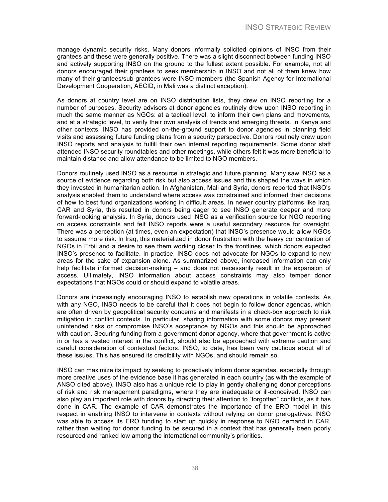manage dynamic security risks. Many donors informally solicited opinions of INSO from their grantees and these were generally positive. There was a slight disconnect between funding INSO and actively supporting INSO on the ground to the fullest extent possible. For example, not all donors encouraged their grantees to seek membership in INSO and not all of them knew how many of their grantees/sub-grantees were INSO members (the Spanish Agency for International Development Cooperation, AECID, in Mali was a distinct exception).

As donors at country level are on INSO distribution lists, they drew on INSO reporting for a number of purposes. Security advisors at donor agencies routinely drew upon INSO reporting in much the same manner as NGOs: at a tactical level, to inform their own plans and movements, and at a strategic level, to verify their own analysis of trends and emerging threats. In Kenya and other contexts, INSO has provided on-the-ground support to donor agencies in planning field visits and assessing future funding plans from a security perspective. Donors routinely drew upon INSO reports and analysis to fulfill their own internal reporting requirements. Some donor staff attended INSO security roundtables and other meetings, while others felt it was more beneficial to maintain distance and allow attendance to be limited to NGO members.

Donors routinely used INSO as a resource in strategic and future planning. Many saw INSO as a source of evidence regarding both risk but also access issues and this shaped the ways in which they invested in humanitarian action. In Afghanistan, Mali and Syria, donors reported that INSO's analysis enabled them to understand where access was constrained and informed their decisions of how to best fund organizations working in difficult areas. In newer country platforms like Iraq, CAR and Syria, this resulted in donors being eager to see INSO generate deeper and more forward-looking analysis. In Syria, donors used INSO as a verification source for NGO reporting on access constraints and felt INSO reports were a useful secondary resource for oversight. There was a perception (at times, even an expectation) that INSO's presence would allow NGOs to assume more risk. In Iraq, this materialized in donor frustration with the heavy concentration of NGOs in Erbil and a desire to see them working closer to the frontlines, which donors expected INSO's presence to facilitate. In practice, INSO does not advocate for NGOs to expand to new areas for the sake of expansion alone. As summarized above, increased information can only help facilitate informed decision-making – and does not necessarily result in the expansion of access. Ultimately, INSO information about access constraints may also temper donor expectations that NGOs could or should expand to volatile areas.

Donors are increasingly encouraging INSO to establish new operations in volatile contexts. As with any NGO, INSO needs to be careful that it does not begin to follow donor agendas, which are often driven by geopolitical security concerns and manifests in a check-box approach to risk mitigation in conflict contexts. In particular, sharing information with some donors may present unintended risks or compromise INSO's acceptance by NGOs and this should be approached with caution. Securing funding from a government donor agency, where that government is active in or has a vested interest in the conflict, should also be approached with extreme caution and careful consideration of contextual factors. INSO, to date, has been very cautious about all of these issues. This has ensured its credibility with NGOs, and should remain so.

INSO can maximize its impact by seeking to proactively inform donor agendas, especially through more creative uses of the evidence base it has generated in each country (as with the example of ANSO cited above). INSO also has a unique role to play in gently challenging donor perceptions of risk and risk management paradigms, where they are inadequate or ill-conceived. INSO can also play an important role with donors by directing their attention to "forgotten" conflicts, as it has done in CAR. The example of CAR demonstrates the importance of the ERO model in this respect in enabling INSO to intervene in contexts without relying on donor prerogatives. INSO was able to access its ERO funding to start up quickly in response to NGO demand in CAR, rather than waiting for donor funding to be secured in a context that has generally been poorly resourced and ranked low among the international community's priorities.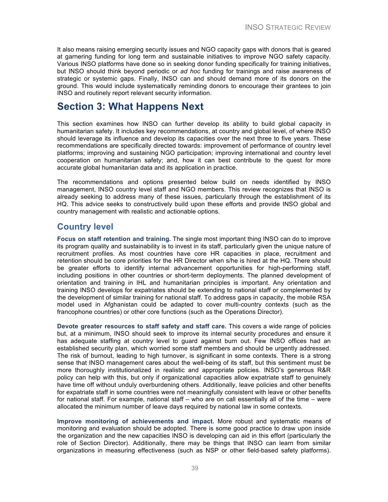It also means raising emerging security issues and NGO capacity gaps with donors that is geared at garnering funding for long term and sustainable initiatives to improve NGO safety capacity. Various INSO platforms have done so in seeking donor funding specifically for training initiatives, but INSO should think beyond periodic or *ad hoc* funding for trainings and raise awareness of strategic or systemic gaps. Finally, INSO can and should demand more of its donors on the ground. This would include systematically reminding donors to encourage their grantees to join INSO and routinely report relevant security information.

### **Section 3: What Happens Next**

This section examines how INSO can further develop its ability to build global capacity in humanitarian safety. It includes key recommendations, at country and global level, of where INSO should leverage its influence and develop its capacities over the next three to five years. These recommendations are specifically directed towards: improvement of performance of country level platforms; improving and sustaining NGO participation; improving international and country level cooperation on humanitarian safety; and, how it can best contribute to the quest for more accurate global humanitarian data and its application in practice.

The recommendations and options presented below build on needs identified by INSO management, INSO country level staff and NGO members. This review recognizes that INSO is already seeking to address many of these issues, particularly through the establishment of its HQ. This advice seeks to constructively build upon these efforts and provide INSO global and country management with realistic and actionable options.

### **Country level**

**Focus on staff retention and training.** The single most important thing INSO can do to improve its program quality and sustainability is to invest in its staff, particularly given the unique nature of recruitment profiles. As most countries have core HR capacities in place, recruitment and retention should be core priorities for the HR Director when s/he is hired at the HQ. There should be greater efforts to identify internal advancement opportunities for high-performing staff, including positions in other countries or short-term deployments. The planned development of orientation and training in IHL and humanitarian principles is important. Any orientation and training INSO develops for expatriates should be extending to national staff or complemented by the development of similar training for national staff. To address gaps in capacity, the mobile RSA model used in Afghanistan could be adapted to cover multi-country contexts (such as the francophone countries) or other core functions (such as the Operations Director).

**Devote greater resources to staff safety and staff care.** This covers a wide range of policies but, at a minimum, INSO should seek to improve its internal security procedures and ensure it has adequate staffing at country level to guard against burn out. Few INSO offices had an established security plan, which worried some staff members and should be urgently addressed. The risk of burnout, leading to high turnover, is significant in some contexts. There is a strong sense that INSO management cares about the well-being of its staff, but this sentiment must be more thoroughly institutionalized in realistic and appropriate policies. INSO's generous R&R policy can help with this, but only if organizational capacities allow expatriate staff to genuinely have time off without unduly overburdening others. Additionally, leave policies and other benefits for expatriate staff in some countries were not meaningfully consistent with leave or other benefits for national staff. For example, national staff – who are on call essentially all of the time – were allocated the minimum number of leave days required by national law in some contexts.

**Improve monitoring of achievements and impact.** More robust and systematic means of monitoring and evaluation should be adopted. There is some good practice to draw upon inside the organization and the new capacities INSO is developing can aid in this effort (particularly the role of Section Director). Additionally, there may be things that INSO can learn from similar organizations in measuring effectiveness (such as NSP or other field-based safety platforms).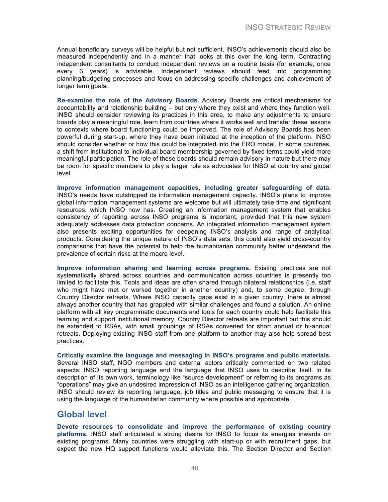Annual beneficiary surveys will be helpful but not sufficient. INSO's achievements should also be measured independently and in a manner that looks at this over the long term. Contracting independent consultants to conduct independent reviews on a routine basis (for example, once every 3 years) is advisable. Independent reviews should feed into programming planning/budgeting processes and focus on addressing specific challenges and achievement of longer term goals.

**Re-examine the role of the Advisory Boards.** Advisory Boards are critical mechanisms for accountability and relationship building – but only where they exist and where they function well. INSO should consider reviewing its practices in this area, to make any adjustments to ensure boards play a meaningful role, learn from countries where it works well and transfer these lessons to contexts where board functioning could be improved. The role of Advisory Boards has been powerful during start-up, where they have been initiated at the inception of the platform. INSO should consider whether or how this could be integrated into the ERO model. In some countries, a shift from institutional to individual board membership governed by fixed terms could yield more meaningful participation. The role of these boards should remain advisory in nature but there may be room for specific members to play a larger role as advocates for INSO at country and global level.

**Improve information management capacities, including greater safeguarding of data.** INSO's needs have outstripped its information management capacity. INSO's plans to improve global information management systems are welcome but will ultimately take time and significant resources, which INSO now has. Creating an information management system that enables consistency of reporting across INSO programs is important, provided that this new system adequately addresses data protection concerns. An integrated information management system also presents exciting opportunities for deepening INSO's analysis and range of analytical products. Considering the unique nature of INSO's data sets, this could also yield cross-country comparisons that have the potential to help the humanitarian community better understand the prevalence of certain risks at the macro level.

**Improve information sharing and learning across programs.** Existing practices are not systematically shared across countries and communication across countries is presently too limited to facilitate this. Tools and ideas are often shared through bilateral relationships (i.e. staff who might have met or worked together in another country) and, to some degree, through Country Director retreats. Where INSO capacity gaps exist in a given country, there is almost always another country that has grappled with similar challenges and found a solution. An online platform with all key programmatic documents and tools for each country could help facilitate this learning and support institutional memory. Country Director retreats are important but this should be extended to RSAs, with small groupings of RSAs convened for short annual or bi-annual retreats. Deploying existing INSO staff from one platform to another may also help spread best practices.

**Critically examine the language and messaging in INSO's programs and public materials.** Several INSO staff, NGO members and external actors critically commented on two related aspects: INSO reporting language and the language that INSO uses to describe itself. In its description of its own work, terminology like "source development" or referring to its programs as "operations" may give an undesired impression of INSO as an intelligence gathering organization. INSO should review its reporting language, job titles and public messaging to ensure that it is using the language of the humanitarian community where possible and appropriate.

### **Global level**

**Devote resources to consolidate and improve the performance of existing country platforms.** INSO staff articulated a strong desire for INSO to focus its energies inwards on existing programs. Many countries were struggling with start-up or with recruitment gaps, but expect the new HQ support functions would alleviate this. The Section Director and Section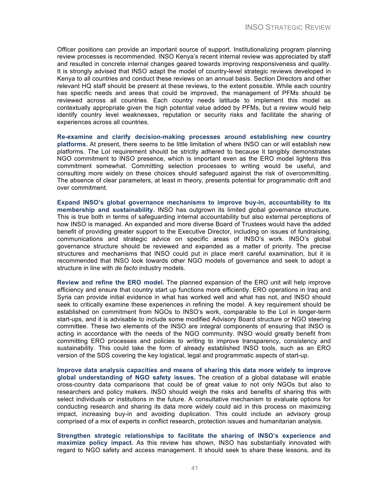Officer positions can provide an important source of support. Institutionalizing program planning review processes is recommended. INSO Kenya's recent internal review was appreciated by staff and resulted in concrete internal changes geared towards improving responsiveness and quality. It is strongly advised that INSO adapt the model of country-level strategic reviews developed in Kenya to all countries and conduct these reviews on an annual basis. Section Directors and other relevant HQ staff should be present at these reviews, to the extent possible. While each country has specific needs and areas that could be improved, the management of PFMs should be reviewed across all countries. Each country needs latitude to implement this model as contextually appropriate given the high potential value added by PFMs, but a review would help identify country level weaknesses, reputation or security risks and facilitate the sharing of experiences across all countries.

**Re-examine and clarify decision-making processes around establishing new country platforms.** At present, there seems to be little limitation of where INSO can or will establish new platforms. The LoI requirement should be strictly adhered to because it tangibly demonstrates NGO commitment to INSO presence, which is important even as the ERO model lightens this commitment somewhat. Committing selection processes to writing would be useful, and consulting more widely on these choices should safeguard against the risk of overcommitting. The absence of clear parameters, at least in theory, presents potential for programmatic drift and over commitment.

**Expand INSO's global governance mechanisms to improve buy-in, accountability to its membership and sustainability.** INSO has outgrown its limited global governance structure. This is true both in terms of safeguarding internal accountability but also external perceptions of how INSO is managed. An expanded and more diverse Board of Trustees would have the added benefit of providing greater support to the Executive Director, including on issues of fundraising, communications and strategic advice on specific areas of INSO's work. INSO's global governance structure should be reviewed and expanded as a matter of priority. The precise structures and mechanisms that INSO could put in place merit careful examination, but it is recommended that INSO look towards other NGO models of governance and seek to adopt a structure in line with *de facto* industry models.

**Review and refine the ERO model.** The planned expansion of the ERO unit will help improve efficiency and ensure that country start up functions more efficiently. ERO operations in Iraq and Syria can provide initial evidence in what has worked well and what has not, and INSO should seek to critically examine these experiences in refining the model. A key requirement should be established on commitment from NGOs to INSO's work, comparable to the LoI in longer-term start-ups, and it is advisable to include some modified Advisory Board structure or NGO steering committee. These two elements of the INSO are integral components of ensuring that INSO is acting in accordance with the needs of the NGO community. INSO would greatly benefit from committing ERO processes and policies to writing to improve transparency, consistency and sustainability. This could take the form of already established INSO tools, such as an ERO version of the SDS covering the key logistical, legal and programmatic aspects of start-up.

**Improve data analysis capacities and means of sharing this data more widely to improve global understanding of NGO safety issues.** The creation of a global database will enable cross-country data comparisons that could be of great value to not only NGOs but also to researchers and policy makers. INSO should weigh the risks and benefits of sharing this with select individuals or institutions in the future. A consultative mechanism to evaluate options for conducting research and sharing its data more widely could aid in this process on maximizing impact, increasing buy-in and avoiding duplication. This could include an advisory group comprised of a mix of experts in conflict research, protection issues and humanitarian analysis.

**Strengthen strategic relationships to facilitate the sharing of INSO's experience and maximize policy impact.** As this review has shown, INSO has substantially innovated with regard to NGO safety and access management. It should seek to share these lessons, and its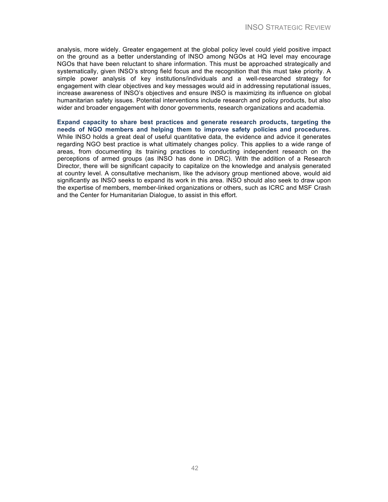analysis, more widely. Greater engagement at the global policy level could yield positive impact on the ground as a better understanding of INSO among NGOs at HQ level may encourage NGOs that have been reluctant to share information. This must be approached strategically and systematically, given INSO's strong field focus and the recognition that this must take priority. A simple power analysis of key institutions/individuals and a well-researched strategy for engagement with clear objectives and key messages would aid in addressing reputational issues, increase awareness of INSO's objectives and ensure INSO is maximizing its influence on global humanitarian safety issues. Potential interventions include research and policy products, but also wider and broader engagement with donor governments, research organizations and academia.

**Expand capacity to share best practices and generate research products, targeting the needs of NGO members and helping them to improve safety policies and procedures.** While INSO holds a great deal of useful quantitative data, the evidence and advice it generates regarding NGO best practice is what ultimately changes policy. This applies to a wide range of areas, from documenting its training practices to conducting independent research on the perceptions of armed groups (as INSO has done in DRC). With the addition of a Research Director, there will be significant capacity to capitalize on the knowledge and analysis generated at country level. A consultative mechanism, like the advisory group mentioned above, would aid significantly as INSO seeks to expand its work in this area. INSO should also seek to draw upon the expertise of members, member-linked organizations or others, such as ICRC and MSF Crash and the Center for Humanitarian Dialogue, to assist in this effort.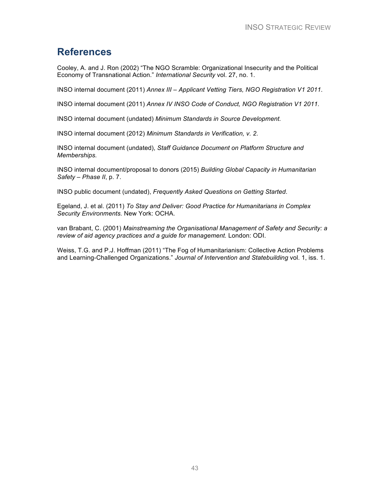### **References**

Cooley, A. and J. Ron (2002) "The NGO Scramble: Organizational Insecurity and the Political Economy of Transnational Action." *International Security* vol. 27, no. 1.

INSO internal document (2011) *Annex III – Applicant Vetting Tiers, NGO Registration V1 2011*.

INSO internal document (2011) *Annex IV INSO Code of Conduct, NGO Registration V1 2011.*

INSO internal document (undated) *Minimum Standards in Source Development.* 

INSO internal document (2012) *Minimum Standards in Verification, v. 2.* 

INSO internal document (undated), *Staff Guidance Document on Platform Structure and Memberships.*

INSO internal document/proposal to donors (2015) *Building Global Capacity in Humanitarian Safety – Phase II*, p. 7.

INSO public document (undated), *Frequently Asked Questions on Getting Started*.

Egeland, J. et al. (2011) *To Stay and Deliver: Good Practice for Humanitarians in Complex Security Environments.* New York: OCHA.

van Brabant, C. (2001) *Mainstreaming the Organisational Management of Safety and Security: a review of aid agency practices and a guide for management.* London: ODI.

Weiss, T.G. and P.J. Hoffman (2011) "The Fog of Humanitarianism: Collective Action Problems and Learning-Challenged Organizations." *Journal of Intervention and Statebuilding* vol. 1, iss. 1.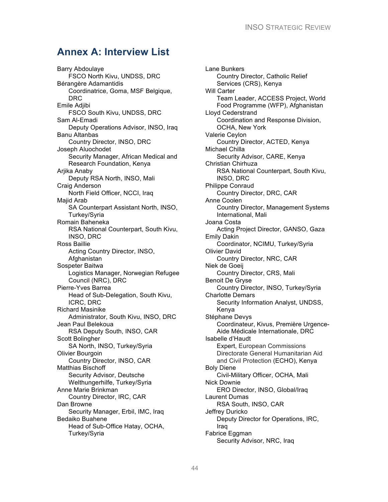### **Annex A: Interview List**

Barry Abdoulaye FSCO North Kivu, UNDSS, DRC Bérangère Adamantidis Coordinatrice, Goma, MSF Belgique, DRC Emile Adjibi FSCO South Kivu, UNDSS, DRC Sam Al-Emadi Deputy Operations Advisor, INSO, Iraq Banu Altanbas Country Director, INSO, DRC Joseph Aluochodet Security Manager, African Medical and Research Foundation, Kenya Arjika Anaby Deputy RSA North, INSO, Mali Craig Anderson North Field Officer, NCCI, Iraq Majid Arab SA Counterpart Assistant North, INSO, Turkey/Syria Romain Baheneka RSA National Counterpart, South Kivu, INSO, DRC Ross Baillie Acting Country Director, INSO, **Afghanistan** Sospeter Baitwa Logistics Manager, Norwegian Refugee Council (NRC), DRC Pierre-Yves Barrea Head of Sub-Delegation, South Kivu, ICRC, DRC Richard Masinike Administrator, South Kivu, INSO, DRC Jean Paul Belekoua RSA Deputy South, INSO, CAR Scott Bolingher SA North, INSO, Turkey/Syria Olivier Bourgoin Country Director, INSO, CAR Matthias Bischoff Security Advisor, Deutsche Welthungerhilfe, Turkey/Syria Anne Marie Brinkman Country Director, IRC, CAR Dan Browne Security Manager, Erbil, IMC, Iraq Bedaiko Buahene Head of Sub-Office Hatay, OCHA, Turkey/Syria

Lane Bunkers Country Director, Catholic Relief Services (CRS), Kenya Will Carter Team Leader, ACCESS Project, World Food Programme (WFP), Afghanistan Lloyd Cederstrand Coordination and Response Division, OCHA, New York Valerie Ceylon Country Director, ACTED, Kenya Michael Chilla Security Advisor, CARE, Kenya Christian Chirhuza RSA National Counterpart, South Kivu, INSO, DRC Philippe Conraud Country Director, DRC, CAR Anne Coolen Country Director, Management Systems International, Mali Joana Costa Acting Project Director, GANSO, Gaza Emily Dakin Coordinator, NCIMU, Turkey/Syria Olivier David Country Director, NRC, CAR Niek de Goeij Country Director, CRS, Mali Benoit De Gryse Country Director, INSO, Turkey/Syria Charlotte Demars Security Information Analyst, UNDSS, Kenya Stéphane Devys Coordinateur, Kivus, Première Urgence-Aide Médicale Internationale, DRC Isabelle d'Haudt Expert, European Commissions Directorate General Humanitarian Aid and Civil Protection (ECHO), Kenya Boly Diene Civil-Military Officer, OCHA, Mali Nick Downie ERO Director, INSO, Global/Iraq Laurent Dumas RSA South, INSO, CAR Jeffrey Duricko Deputy Director for Operations, IRC, Iraq Fabrice Eggman Security Advisor, NRC, Iraq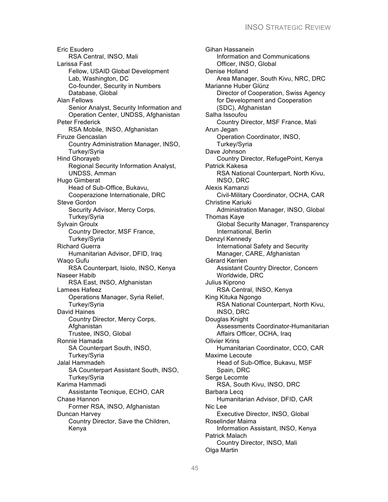Eric Esudero RSA Central, INSO, Mali Larissa Fast Fellow, USAID Global Development Lab, Washington, DC Co-founder, Security in Numbers Database, Global Alan Fellows Senior Analyst, Security Information and Operation Center, UNDSS, Afghanistan Peter Frederick RSA Mobile, INSO, Afghanistan Firuze Gencaslan Country Administration Manager, INSO, Turkey/Syria Hind Ghorayeb Regional Security Information Analyst, UNDSS, Amman Hugo Gimberat Head of Sub-Office, Bukavu, Cooperazione Internationale, DRC Steve Gordon Security Advisor, Mercy Corps, Turkey/Syria Sylvain Groulx Country Director, MSF France, Turkey/Syria Richard Guerra Humanitarian Advisor, DFID, Iraq Waqo Gufu RSA Counterpart, Isiolo, INSO, Kenya Naseer Habib RSA East, INSO, Afghanistan Lamees Hafeez Operations Manager, Syria Relief, Turkey/Syria David Haines Country Director, Mercy Corps, **Afghanistan** Trustee, INSO, Global Ronnie Hamada SA Counterpart South, INSO, Turkey/Syria Jalal Hammadeh SA Counterpart Assistant South, INSO, Turkey/Syria Karima Hammadi Assistante Tecnique, ECHO, CAR Chase Hannon Former RSA, INSO, Afghanistan Duncan Harvey Country Director, Save the Children, Kenya

Gihan Hassanein Information and Communications Officer, INSO, Global Denise Holland Area Manager, South Kivu, NRC, DRC Marianne Huber Glünz Director of Cooperation, Swiss Agency for Development and Cooperation (SDC), Afghanistan Salha Issoufou Country Director, MSF France, Mali Arun Jegan Operation Coordinator, INSO, Turkey/Syria Dave Johnson Country Director, RefugePoint, Kenya Patrick Kakesa RSA National Counterpart, North Kivu, INSO, DRC Alexis Kamanzi Civil-Military Coordinator, OCHA, CAR Christine Kariuki Administration Manager, INSO, Global Thomas Kaye Global Security Manager, Transparency International, Berlin Denzyl Kennedy International Safety and Security Manager, CARE, Afghanistan Gérard Kerrien Assistant Country Director, Concern Worldwide, DRC Julius Kiprono RSA Central, INSO, Kenya King Kituka Ngongo RSA National Counterpart, North Kivu, INSO, DRC Douglas Knight Assessments Coordinator-Humanitarian Affairs Officer, OCHA, Iraq Olivier Krins Humanitarian Coordinator, CCO, CAR Maxime Lecoute Head of Sub-Office, Bukavu, MSF Spain, DRC Serge Lecomte RSA, South Kivu, INSO, DRC Barbara Lecq Humanitarian Advisor, DFID, CAR Nic Lee Executive Director, INSO, Global Roselinder Maima Information Assistant, INSO, Kenya Patrick Malach Country Director, INSO, Mali Olga Martin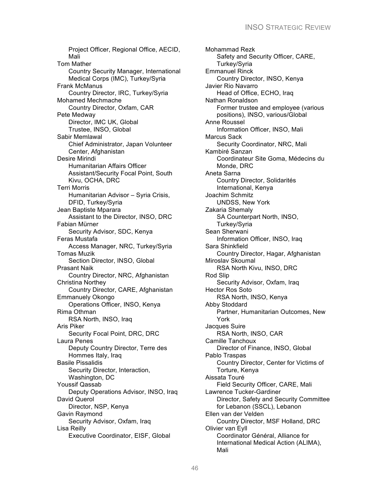Project Officer, Regional Office, AECID, Mali Tom Mather Country Security Manager, International Medical Corps (IMC), Turkey/Syria Frank McManus Country Director, IRC, Turkey/Syria Mohamed Mechmache Country Director, Oxfam, CAR Pete Medway Director, IMC UK, Global Trustee, INSO, Global Sabir Memlawal Chief Administrator, Japan Volunteer Center, Afghanistan Desire Mirindi Humanitarian Affairs Officer Assistant/Security Focal Point, South Kivu, OCHA, DRC Terri Morris Humanitarian Advisor – Syria Crisis, DFID, Turkey/Syria Jean Baptiste Mparara Assistant to the Director, INSO, DRC Fabian Mürner Security Advisor, SDC, Kenya Feras Mustafa Access Manager, NRC, Turkey/Syria Tomas Muzik Section Director, INSO, Global Prasant Naik Country Director, NRC, Afghanistan Christina Northey Country Director, CARE, Afghanistan Emmanuely Okongo Operations Officer, INSO, Kenya Rima Othman RSA North, INSO, Iraq Aris Piker Security Focal Point, DRC, DRC Laura Penes Deputy Country Director, Terre des Hommes Italy, Iraq Basile Pissalidis Security Director, Interaction, Washington, DC Youssif Qassab Deputy Operations Advisor, INSO, Iraq David Querol Director, NSP, Kenya Gavin Raymond Security Advisor, Oxfam, Iraq Lisa Reilly Executive Coordinator, EISF, Global

Mohammad Rezk Safety and Security Officer, CARE, Turkey/Syria Emmanuel Rinck Country Director, INSO, Kenya Javier Rio Navarro Head of Office, ECHO, Iraq Nathan Ronaldson Former trustee and employee (various positions), INSO, various/Global Anne Roussel Information Officer, INSO, Mali Marcus Sack Security Coordinator, NRC, Mali Kambiré Sanzan Coordinateur Site Goma, Médecins du Monde, DRC Aneta Sarna Country Director, Solidarités International, Kenya Joachim Schmitz UNDSS, New York Zakaria Shemaly SA Counterpart North, INSO, Turkey/Syria Sean Sherwani Information Officer, INSO, Iraq Sara Shinkfield Country Director, Hagar, Afghanistan Miroslav Skoumal RSA North Kivu, INSO, DRC Rod Slip Security Advisor, Oxfam, Iraq Hector Ros Soto RSA North, INSO, Kenya Abby Stoddard Partner, Humanitarian Outcomes, New York Jacques Suire RSA North, INSO, CAR Camille Tanchoux Director of Finance, INSO, Global Pablo Traspas Country Director, Center for Victims of Torture, Kenya Aissata Touré Field Security Officer, CARE, Mali Lawrence Tucker-Gardiner Director, Safety and Security Committee for Lebanon (SSCL), Lebanon Ellen van der Velden Country Director, MSF Holland, DRC Olivier van Eyll Coordinator Général, Alliance for International Medical Action (ALIMA), Mali